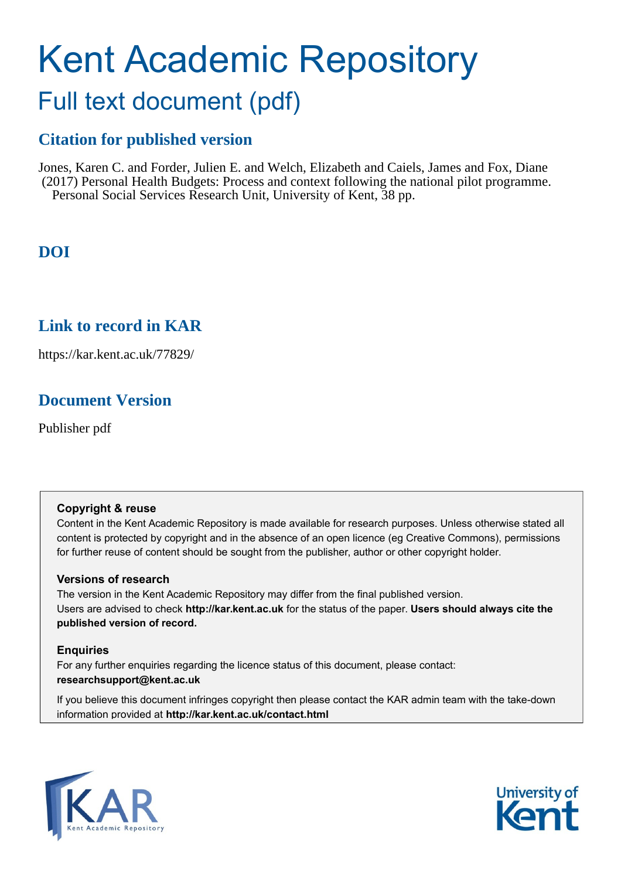# Kent Academic Repository

## Full text document (pdf)

## **Citation for published version**

Jones, Karen C. and Forder, Julien E. and Welch, Elizabeth and Caiels, James and Fox, Diane (2017) Personal Health Budgets: Process and context following the national pilot programme. Personal Social Services Research Unit, University of Kent, 38 pp.

## **DOI**

## **Link to record in KAR**

https://kar.kent.ac.uk/77829/

## **Document Version**

Publisher pdf

#### **Copyright & reuse**

Content in the Kent Academic Repository is made available for research purposes. Unless otherwise stated all content is protected by copyright and in the absence of an open licence (eg Creative Commons), permissions for further reuse of content should be sought from the publisher, author or other copyright holder.

#### **Versions of research**

The version in the Kent Academic Repository may differ from the final published version. Users are advised to check **http://kar.kent.ac.uk** for the status of the paper. **Users should always cite the published version of record.**

#### **Enquiries**

For any further enquiries regarding the licence status of this document, please contact: **researchsupport@kent.ac.uk**

If you believe this document infringes copyright then please contact the KAR admin team with the take-down information provided at **http://kar.kent.ac.uk/contact.html**



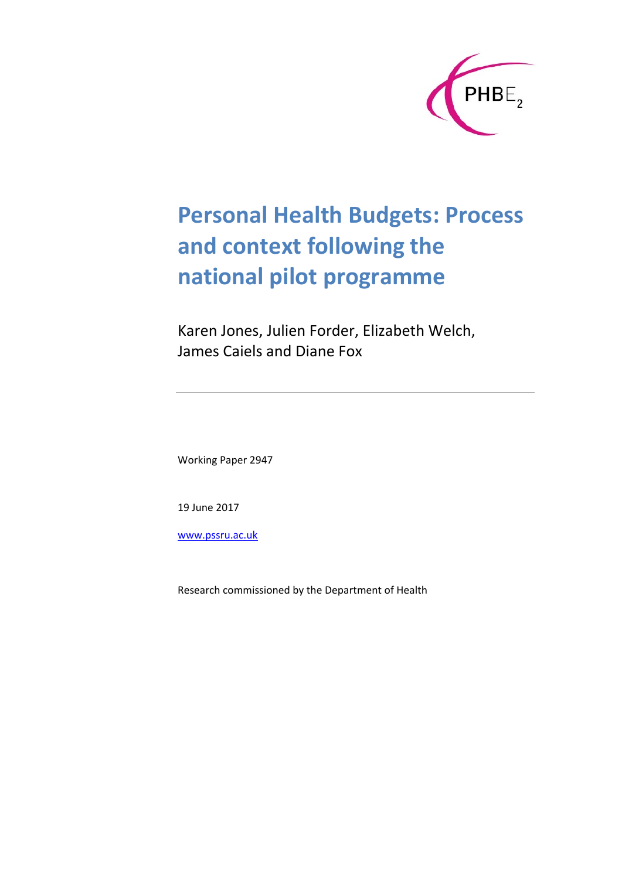

# **Personal Health Budgets: Process and context following the national pilot programme**

Karen Jones, Julien Forder, Elizabeth Welch, James Caiels and Diane Fox

Working Paper 2947

19 June 2017

www.pssru.ac.uk

Research commissioned by the Department of Health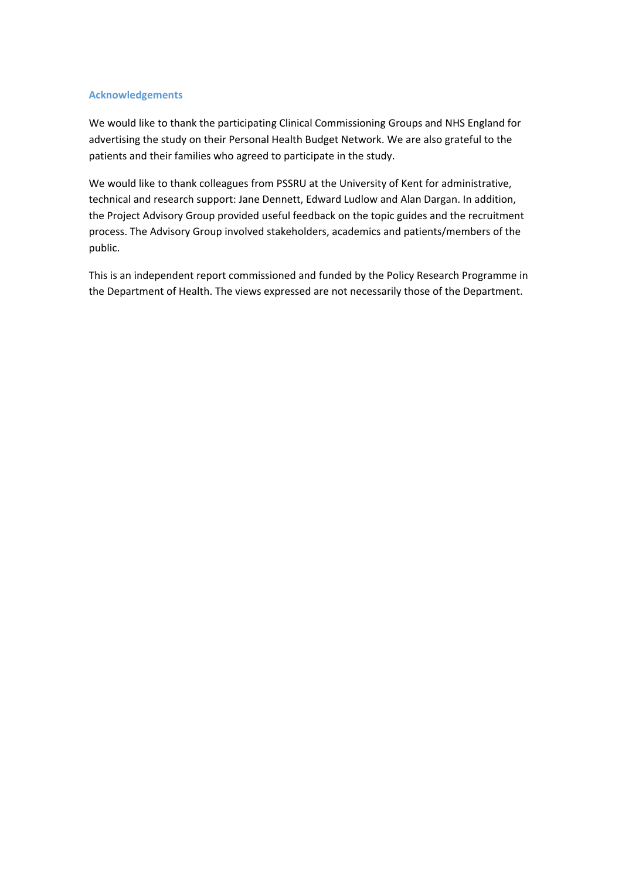#### **Acknowledgements**

We would like to thank the participating Clinical Commissioning Groups and NHS England for advertising the study on their Personal Health Budget Network. We are also grateful to the patients and their families who agreed to participate in the study.

We would like to thank colleagues from PSSRU at the University of Kent for administrative, technical and research support: Jane Dennett, Edward Ludlow and Alan Dargan. In addition, the Project Advisory Group provided useful feedback on the topic guides and the recruitment process. The Advisory Group involved stakeholders, academics and patients/members of the public.

This is an independent report commissioned and funded by the Policy Research Programme in the Department of Health. The views expressed are not necessarily those of the Department.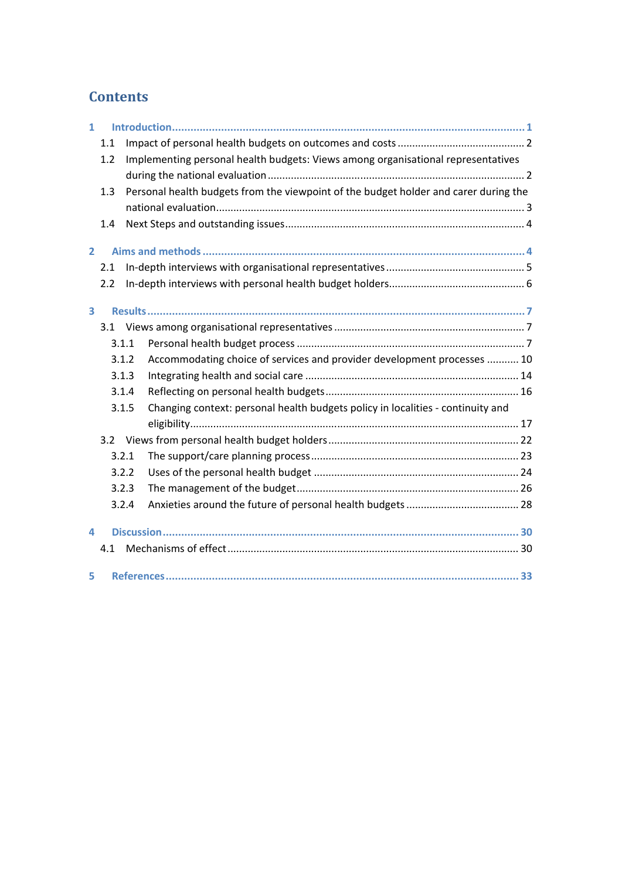### **Contents**

| $\mathbf{1}$   |               |       |                                                                                      |  |  |
|----------------|---------------|-------|--------------------------------------------------------------------------------------|--|--|
|                | 1.1           |       |                                                                                      |  |  |
| 1.2            |               |       | Implementing personal health budgets: Views among organisational representatives     |  |  |
|                |               |       |                                                                                      |  |  |
|                | 1.3           |       | Personal health budgets from the viewpoint of the budget holder and carer during the |  |  |
|                |               |       |                                                                                      |  |  |
|                | 1.4           |       |                                                                                      |  |  |
|                |               |       |                                                                                      |  |  |
| $\overline{2}$ |               |       |                                                                                      |  |  |
|                | 2.1           |       |                                                                                      |  |  |
|                | 2.2           |       |                                                                                      |  |  |
|                |               |       |                                                                                      |  |  |
| 3              |               |       |                                                                                      |  |  |
|                | 3.1           |       |                                                                                      |  |  |
|                | 3.1.1         |       |                                                                                      |  |  |
|                |               | 3.1.2 | Accommodating choice of services and provider development processes  10              |  |  |
|                |               | 3.1.3 |                                                                                      |  |  |
|                |               | 3.1.4 |                                                                                      |  |  |
|                |               | 3.1.5 | Changing context: personal health budgets policy in localities - continuity and      |  |  |
|                |               |       |                                                                                      |  |  |
|                | $3.2^{\circ}$ |       |                                                                                      |  |  |
|                |               | 3.2.1 |                                                                                      |  |  |
|                |               | 3.2.2 |                                                                                      |  |  |
|                |               | 3.2.3 |                                                                                      |  |  |
|                |               | 3.2.4 |                                                                                      |  |  |
| 4              |               |       |                                                                                      |  |  |
| 4.1            |               |       |                                                                                      |  |  |
|                |               |       |                                                                                      |  |  |
| 5              |               |       |                                                                                      |  |  |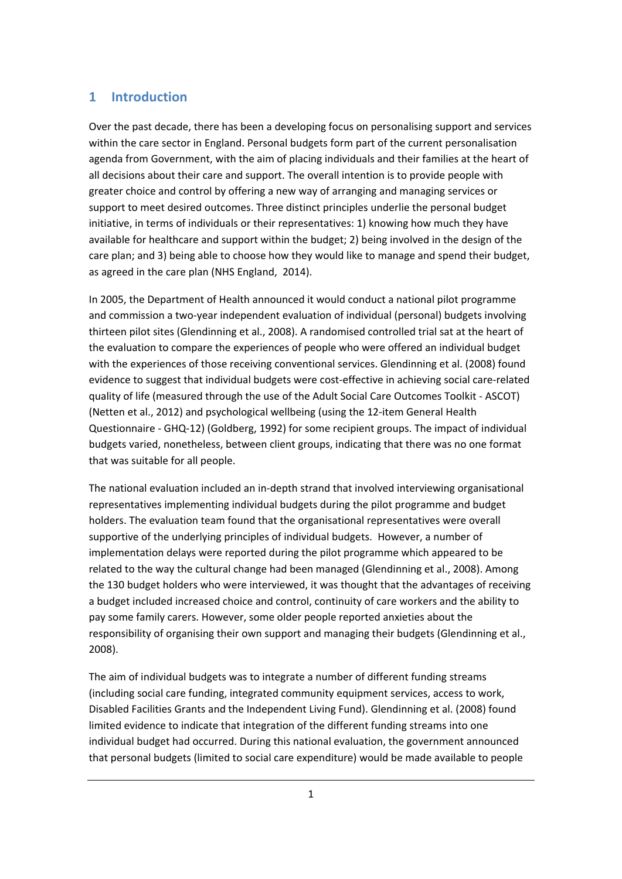#### **1 Introduction**

Over the past decade, there has been a developing focus on personalising support and services within the care sector in England. Personal budgets form part of the current personalisation agenda from Government, with the aim of placing individuals and their families at the heart of all decisions about their care and support. The overall intention is to provide people with greater choice and control by offering a new way of arranging and managing services or support to meet desired outcomes. Three distinct principles underlie the personal budget initiative, in terms of individuals or their representatives: 1) knowing how much they have available for healthcare and support within the budget; 2) being involved in the design of the care plan; and 3) being able to choose how they would like to manage and spend their budget, as agreed in the care plan (NHS England, 2014).

In 2005, the Department of Health announced it would conduct a national pilot programme and commission a two-year independent evaluation of individual (personal) budgets involving thirteen pilot sites (Glendinning et al., 2008). A randomised controlled trial sat at the heart of the evaluation to compare the experiences of people who were offered an individual budget with the experiences of those receiving conventional services. Glendinning et al. (2008) found evidence to suggest that individual budgets were cost-effective in achieving social care-related quality of life (measured through the use of the Adult Social Care Outcomes Toolkit - ASCOT) (Netten et al., 2012) and psychological wellbeing (using the 12-item General Health Questionnaire - GHQ-12) (Goldberg, 1992) for some recipient groups. The impact of individual budgets varied, nonetheless, between client groups, indicating that there was no one format that was suitable for all people.

The national evaluation included an in-depth strand that involved interviewing organisational representatives implementing individual budgets during the pilot programme and budget holders. The evaluation team found that the organisational representatives were overall supportive of the underlying principles of individual budgets. However, a number of implementation delays were reported during the pilot programme which appeared to be related to the way the cultural change had been managed (Glendinning et al., 2008). Among the 130 budget holders who were interviewed, it was thought that the advantages of receiving a budget included increased choice and control, continuity of care workers and the ability to pay some family carers. However, some older people reported anxieties about the responsibility of organising their own support and managing their budgets (Glendinning et al., 2008).

The aim of individual budgets was to integrate a number of different funding streams (including social care funding, integrated community equipment services, access to work, Disabled Facilities Grants and the Independent Living Fund). Glendinning et al. (2008) found limited evidence to indicate that integration of the different funding streams into one individual budget had occurred. During this national evaluation, the government announced that personal budgets (limited to social care expenditure) would be made available to people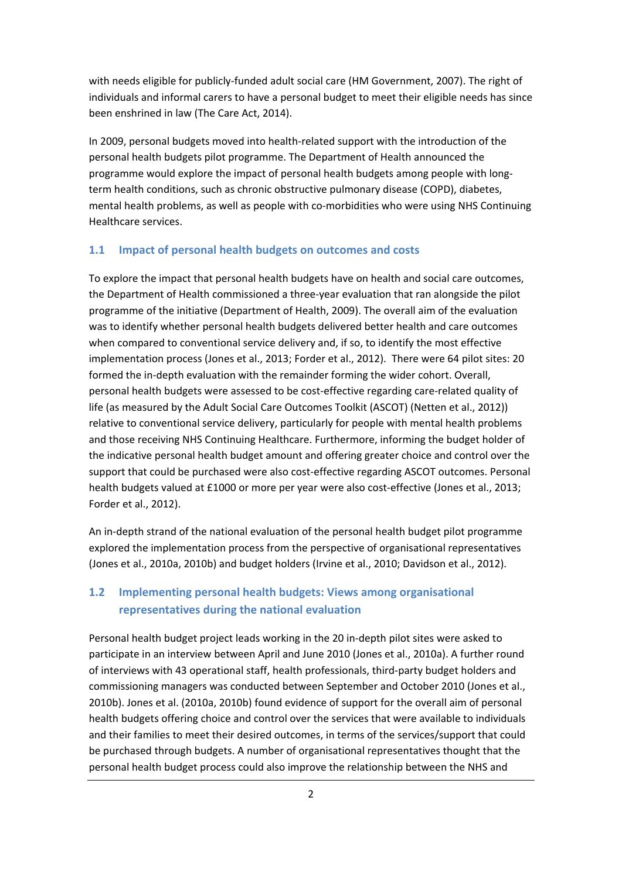with needs eligible for publicly-funded adult social care (HM Government, 2007). The right of individuals and informal carers to have a personal budget to meet their eligible needs has since been enshrined in law (The Care Act, 2014).

In 2009, personal budgets moved into health-related support with the introduction of the personal health budgets pilot programme. The Department of Health announced the programme would explore the impact of personal health budgets among people with longterm health conditions, such as chronic obstructive pulmonary disease (COPD), diabetes, mental health problems, as well as people with co-morbidities who were using NHS Continuing Healthcare services.

#### **1.1 Impact of personal health budgets on outcomes and costs**

To explore the impact that personal health budgets have on health and social care outcomes, the Department of Health commissioned a three-year evaluation that ran alongside the pilot programme of the initiative (Department of Health, 2009). The overall aim of the evaluation was to identify whether personal health budgets delivered better health and care outcomes when compared to conventional service delivery and, if so, to identify the most effective implementation process (Jones et al., 2013; Forder et al., 2012). There were 64 pilot sites: 20 formed the in-depth evaluation with the remainder forming the wider cohort. Overall, personal health budgets were assessed to be cost-effective regarding care-related quality of life (as measured by the Adult Social Care Outcomes Toolkit (ASCOT) (Netten et al., 2012)) relative to conventional service delivery, particularly for people with mental health problems and those receiving NHS Continuing Healthcare. Furthermore, informing the budget holder of the indicative personal health budget amount and offering greater choice and control over the support that could be purchased were also cost-effective regarding ASCOT outcomes. Personal health budgets valued at £1000 or more per year were also cost-effective (Jones et al., 2013; Forder et al., 2012).

An in-depth strand of the national evaluation of the personal health budget pilot programme explored the implementation process from the perspective of organisational representatives (Jones et al., 2010a, 2010b) and budget holders (Irvine et al., 2010; Davidson et al., 2012).

#### **1.2 Implementing personal health budgets: Views among organisational representatives during the national evaluation**

Personal health budget project leads working in the 20 in-depth pilot sites were asked to participate in an interview between April and June 2010 (Jones et al., 2010a). A further round of interviews with 43 operational staff, health professionals, third-party budget holders and commissioning managers was conducted between September and October 2010 (Jones et al., 2010b). Jones et al. (2010a, 2010b) found evidence of support for the overall aim of personal health budgets offering choice and control over the services that were available to individuals and their families to meet their desired outcomes, in terms of the services/support that could be purchased through budgets. A number of organisational representatives thought that the personal health budget process could also improve the relationship between the NHS and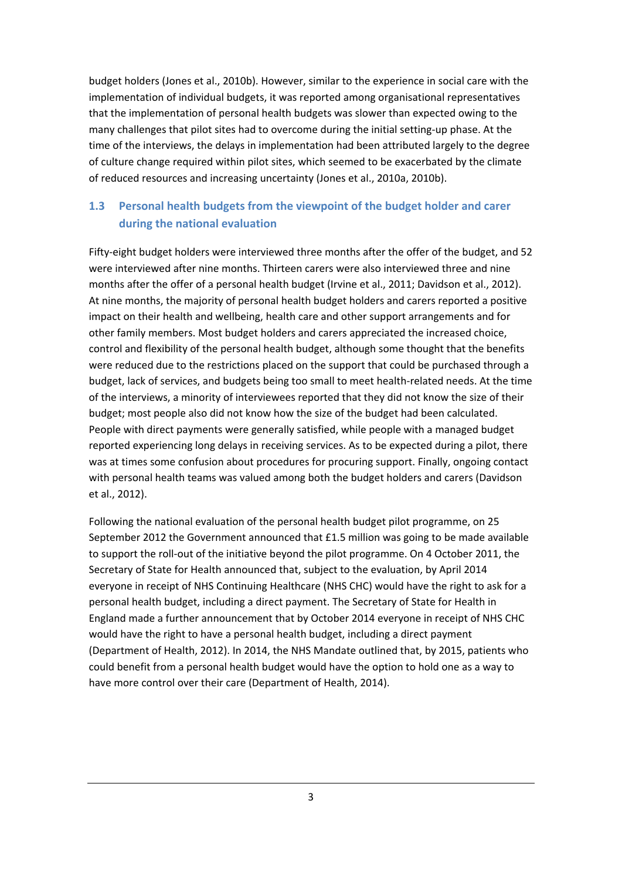budget holders (Jones et al., 2010b). However, similar to the experience in social care with the implementation of individual budgets, it was reported among organisational representatives that the implementation of personal health budgets was slower than expected owing to the many challenges that pilot sites had to overcome during the initial setting-up phase. At the time of the interviews, the delays in implementation had been attributed largely to the degree of culture change required within pilot sites, which seemed to be exacerbated by the climate of reduced resources and increasing uncertainty (Jones et al., 2010a, 2010b).

#### **1.3 Personal health budgets from the viewpoint of the budget holder and carer during the national evaluation**

Fifty-eight budget holders were interviewed three months after the offer of the budget, and 52 were interviewed after nine months. Thirteen carers were also interviewed three and nine months after the offer of a personal health budget (Irvine et al., 2011; Davidson et al., 2012). At nine months, the majority of personal health budget holders and carers reported a positive impact on their health and wellbeing, health care and other support arrangements and for other family members. Most budget holders and carers appreciated the increased choice, control and flexibility of the personal health budget, although some thought that the benefits were reduced due to the restrictions placed on the support that could be purchased through a budget, lack of services, and budgets being too small to meet health-related needs. At the time of the interviews, a minority of interviewees reported that they did not know the size of their budget; most people also did not know how the size of the budget had been calculated. People with direct payments were generally satisfied, while people with a managed budget reported experiencing long delays in receiving services. As to be expected during a pilot, there was at times some confusion about procedures for procuring support. Finally, ongoing contact with personal health teams was valued among both the budget holders and carers (Davidson et al., 2012).

Following the national evaluation of the personal health budget pilot programme, on 25 September 2012 the Government announced that £1.5 million was going to be made available to support the roll-out of the initiative beyond the pilot programme. On 4 October 2011, the Secretary of State for Health announced that, subject to the evaluation, by April 2014 everyone in receipt of NHS Continuing Healthcare (NHS CHC) would have the right to ask for a personal health budget, including a direct payment. The Secretary of State for Health in England made a further announcement that by October 2014 everyone in receipt of NHS CHC would have the right to have a personal health budget, including a direct payment (Department of Health, 2012). In 2014, the NHS Mandate outlined that, by 2015, patients who could benefit from a personal health budget would have the option to hold one as a way to have more control over their care (Department of Health, 2014).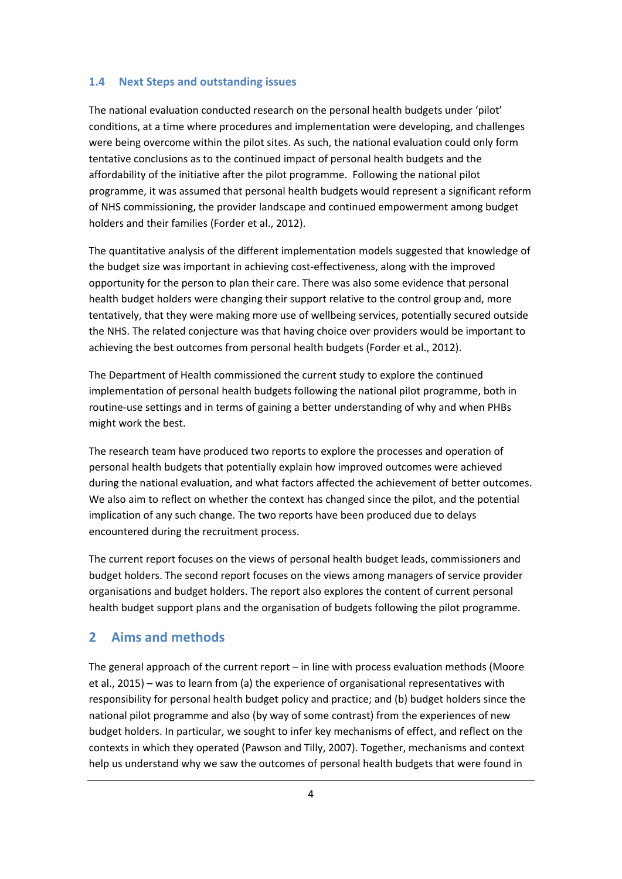#### **1.4 Next Steps and outstanding issues**

The national evaluation conducted research on the personal health budgets under 'pilot' conditions, at a time where procedures and implementation were developing, and challenges were being overcome within the pilot sites. As such, the national evaluation could only form tentative conclusions as to the continued impact of personal health budgets and the affordability of the initiative after the pilot programme. Following the national pilot programme, it was assumed that personal health budgets would represent a significant reform of NHS commissioning, the provider landscape and continued empowerment among budget holders and their families (Forder et al., 2012).

The quantitative analysis of the different implementation models suggested that knowledge of the budget size was important in achieving cost-effectiveness, along with the improved opportunity for the person to plan their care. There was also some evidence that personal health budget holders were changing their support relative to the control group and, more tentatively, that they were making more use of wellbeing services, potentially secured outside the NHS. The related conjecture was that having choice over providers would be important to achieving the best outcomes from personal health budgets (Forder et al., 2012).

The Department of Health commissioned the current study to explore the continued implementation of personal health budgets following the national pilot programme, both in routine-use settings and in terms of gaining a better understanding of why and when PHBs might work the best.

The research team have produced two reports to explore the processes and operation of personal health budgets that potentially explain how improved outcomes were achieved during the national evaluation, and what factors affected the achievement of better outcomes. We also aim to reflect on whether the context has changed since the pilot, and the potential implication of any such change. The two reports have been produced due to delays encountered during the recruitment process.

The current report focuses on the views of personal health budget leads, commissioners and budget holders. The second report focuses on the views among managers of service provider organisations and budget holders. The report also explores the content of current personal health budget support plans and the organisation of budgets following the pilot programme.

#### **2 Aims and methods**

The general approach of the current report – in line with process evaluation methods (Moore et al., 2015) – was to learn from (a) the experience of organisational representatives with responsibility for personal health budget policy and practice; and (b) budget holders since the national pilot programme and also (by way of some contrast) from the experiences of new budget holders. In particular, we sought to infer key mechanisms of effect, and reflect on the contexts in which they operated (Pawson and Tilly, 2007). Together, mechanisms and context help us understand why we saw the outcomes of personal health budgets that were found in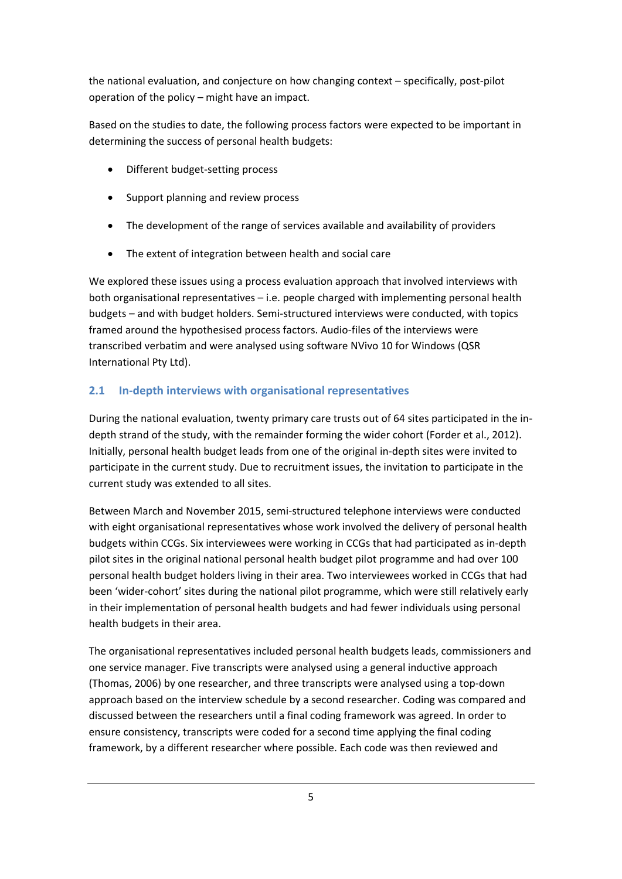the national evaluation, and conjecture on how changing context – specifically, post-pilot operation of the policy – might have an impact.

Based on the studies to date, the following process factors were expected to be important in determining the success of personal health budgets:

- Different budget-setting process
- Support planning and review process
- The development of the range of services available and availability of providers
- The extent of integration between health and social care

We explored these issues using a process evaluation approach that involved interviews with both organisational representatives – i.e. people charged with implementing personal health budgets – and with budget holders. Semi-structured interviews were conducted, with topics framed around the hypothesised process factors. Audio-files of the interviews were transcribed verbatim and were analysed using software NVivo 10 for Windows (QSR International Pty Ltd).

#### **2.1 In-depth interviews with organisational representatives**

During the national evaluation, twenty primary care trusts out of 64 sites participated in the indepth strand of the study, with the remainder forming the wider cohort (Forder et al., 2012). Initially, personal health budget leads from one of the original in-depth sites were invited to participate in the current study. Due to recruitment issues, the invitation to participate in the current study was extended to all sites.

Between March and November 2015, semi-structured telephone interviews were conducted with eight organisational representatives whose work involved the delivery of personal health budgets within CCGs. Six interviewees were working in CCGs that had participated as in-depth pilot sites in the original national personal health budget pilot programme and had over 100 personal health budget holders living in their area. Two interviewees worked in CCGs that had been 'wider-cohort' sites during the national pilot programme, which were still relatively early in their implementation of personal health budgets and had fewer individuals using personal health budgets in their area.

The organisational representatives included personal health budgets leads, commissioners and one service manager. Five transcripts were analysed using a general inductive approach (Thomas, 2006) by one researcher, and three transcripts were analysed using a top-down approach based on the interview schedule by a second researcher. Coding was compared and discussed between the researchers until a final coding framework was agreed. In order to ensure consistency, transcripts were coded for a second time applying the final coding framework, by a different researcher where possible. Each code was then reviewed and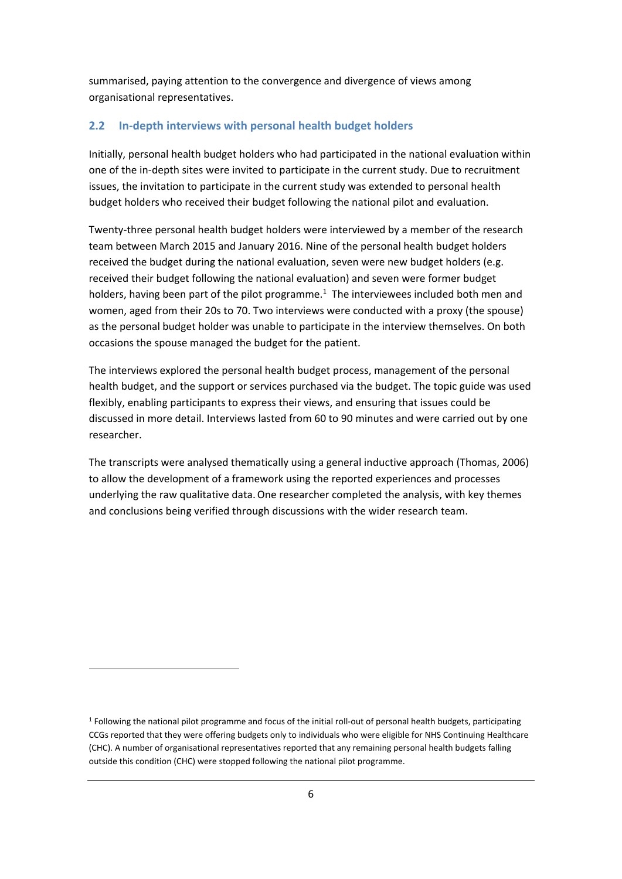summarised, paying attention to the convergence and divergence of views among organisational representatives.

#### **2.2 In-depth interviews with personal health budget holders**

Initially, personal health budget holders who had participated in the national evaluation within one of the in-depth sites were invited to participate in the current study. Due to recruitment issues, the invitation to participate in the current study was extended to personal health budget holders who received their budget following the national pilot and evaluation.

Twenty-three personal health budget holders were interviewed by a member of the research team between March 2015 and January 2016. Nine of the personal health budget holders received the budget during the national evaluation, seven were new budget holders (e.g. received their budget following the national evaluation) and seven were former budget holders, having been part of the pilot programme.<sup>1</sup> The interviewees included both men and women, aged from their 20s to 70. Two interviews were conducted with a proxy (the spouse) as the personal budget holder was unable to participate in the interview themselves. On both occasions the spouse managed the budget for the patient.

The interviews explored the personal health budget process, management of the personal health budget, and the support or services purchased via the budget. The topic guide was used flexibly, enabling participants to express their views, and ensuring that issues could be discussed in more detail. Interviews lasted from 60 to 90 minutes and were carried out by one researcher.

The transcripts were analysed thematically using a general inductive approach (Thomas, 2006) to allow the development of a framework using the reported experiences and processes underlying the raw qualitative data. One researcher completed the analysis, with key themes and conclusions being verified through discussions with the wider research team.

**.** 

 $1$  Following the national pilot programme and focus of the initial roll-out of personal health budgets, participating CCGs reported that they were offering budgets only to individuals who were eligible for NHS Continuing Healthcare (CHC). A number of organisational representatives reported that any remaining personal health budgets falling outside this condition (CHC) were stopped following the national pilot programme.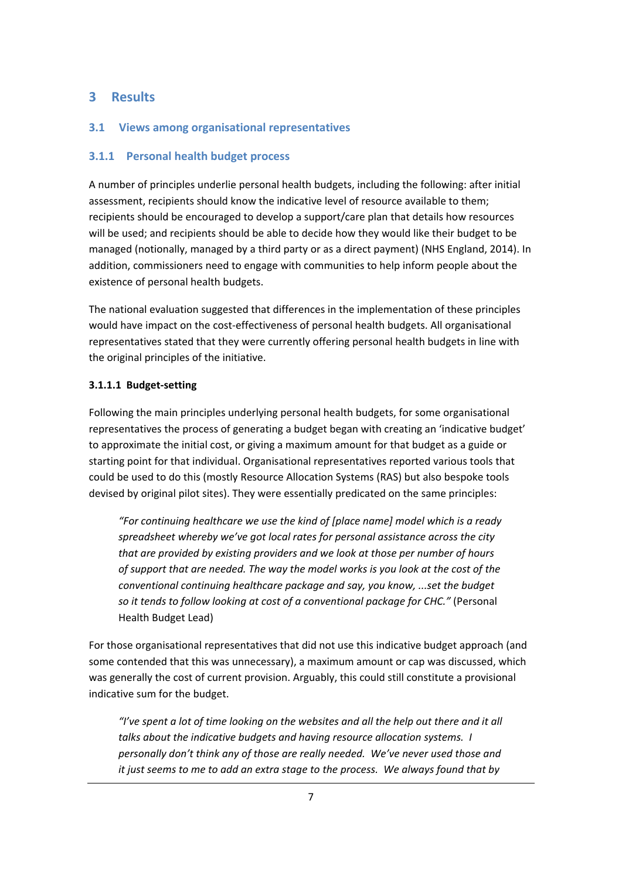#### **3 Results**

#### **3.1 Views among organisational representatives**

#### **3.1.1 Personal health budget process**

A number of principles underlie personal health budgets, including the following: after initial assessment, recipients should know the indicative level of resource available to them; recipients should be encouraged to develop a support/care plan that details how resources will be used; and recipients should be able to decide how they would like their budget to be managed (notionally, managed by a third party or as a direct payment) (NHS England, 2014). In addition, commissioners need to engage with communities to help inform people about the existence of personal health budgets.

The national evaluation suggested that differences in the implementation of these principles would have impact on the cost-effectiveness of personal health budgets. All organisational representatives stated that they were currently offering personal health budgets in line with the original principles of the initiative.

#### **3.1.1.1 Budget-setting**

Following the main principles underlying personal health budgets, for some organisational representatives the process of generating a budget began with creating an 'indicative budget' to approximate the initial cost, or giving a maximum amount for that budget as a guide or starting point for that individual. Organisational representatives reported various tools that could be used to do this (mostly Resource Allocation Systems (RAS) but also bespoke tools devised by original pilot sites). They were essentially predicated on the same principles:

*"For continuing healthcare we use the kind of [place name] model which is a ready spreadsheet whereby we've got local rates for personal assistance across the city that are provided by existing providers and we look at those per number of hours of support that are needed. The way the model works is you look at the cost of the conventional continuing healthcare package and say, you know, ...set the budget so it tends to follow looking at cost of a conventional package for CHC."* (Personal Health Budget Lead)

For those organisational representatives that did not use this indicative budget approach (and some contended that this was unnecessary), a maximum amount or cap was discussed, which was generally the cost of current provision. Arguably, this could still constitute a provisional indicative sum for the budget.

*"I've spent a lot of time looking on the websites and all the help out there and it all talks about the indicative budgets and having resource allocation systems. I personally don't think any of those are really needed. We've never used those and it just seems to me to add an extra stage to the process. We always found that by*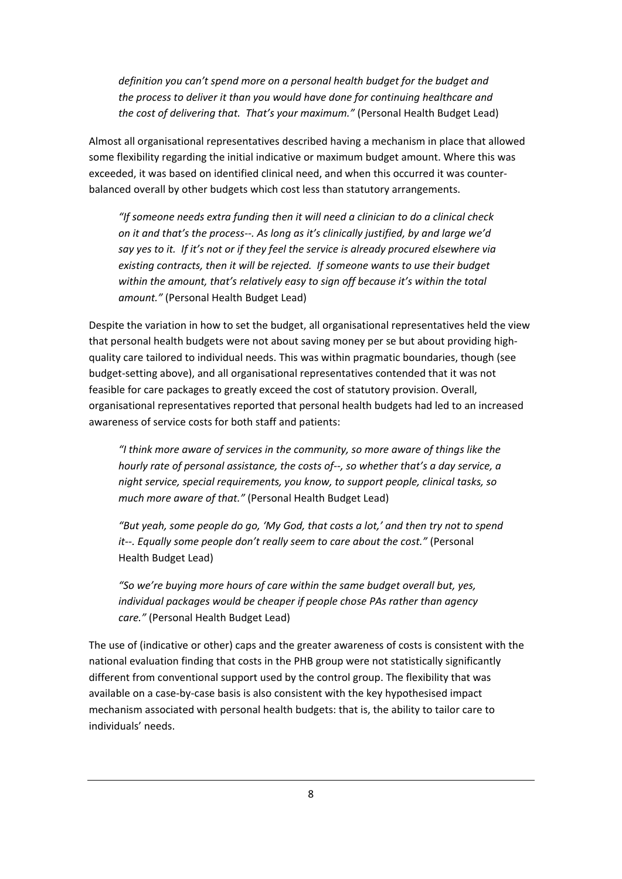*definition you can't spend more on a personal health budget for the budget and the process to deliver it than you would have done for continuing healthcare and the cost of delivering that. That's your maximum."* (Personal Health Budget Lead)

Almost all organisational representatives described having a mechanism in place that allowed some flexibility regarding the initial indicative or maximum budget amount. Where this was exceeded, it was based on identified clinical need, and when this occurred it was counterbalanced overall by other budgets which cost less than statutory arrangements.

*"If someone needs extra funding then it will need a clinician to do a clinical check on it and that's the process--. As long as it's clinically justified, by and large we'd say yes to it. If it's not or if they feel the service is already procured elsewhere via existing contracts, then it will be rejected. If someone wants to use their budget within the amount, that's relatively easy to sign off because it's within the total amount."* (Personal Health Budget Lead)

Despite the variation in how to set the budget, all organisational representatives held the view that personal health budgets were not about saving money per se but about providing highquality care tailored to individual needs. This was within pragmatic boundaries, though (see budget-setting above), and all organisational representatives contended that it was not feasible for care packages to greatly exceed the cost of statutory provision. Overall, organisational representatives reported that personal health budgets had led to an increased awareness of service costs for both staff and patients:

*"I think more aware of services in the community, so more aware of things like the hourly rate of personal assistance, the costs of--, so whether that's a day service, a night service, special requirements, you know, to support people, clinical tasks, so much more aware of that."* (Personal Health Budget Lead)

*"But yeah, some people do go, 'My God, that costs a lot,' and then try not to spend it--. Equally some people don't really seem to care about the cost."* (Personal Health Budget Lead)

*"So we're buying more hours of care within the same budget overall but, yes, individual packages would be cheaper if people chose PAs rather than agency care."* (Personal Health Budget Lead)

The use of (indicative or other) caps and the greater awareness of costs is consistent with the national evaluation finding that costs in the PHB group were not statistically significantly different from conventional support used by the control group. The flexibility that was available on a case-by-case basis is also consistent with the key hypothesised impact mechanism associated with personal health budgets: that is, the ability to tailor care to individuals' needs.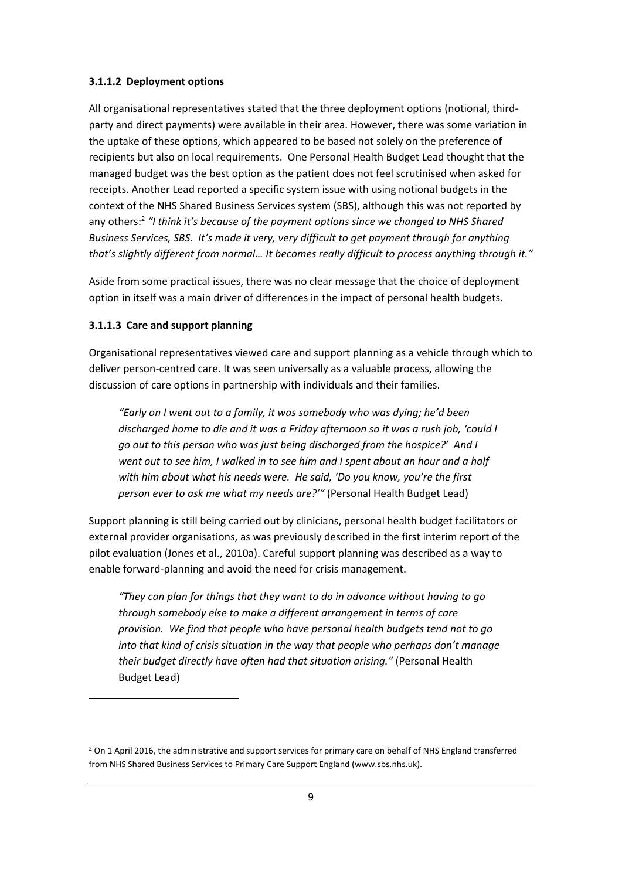#### **3.1.1.2 Deployment options**

All organisational representatives stated that the three deployment options (notional, thirdparty and direct payments) were available in their area. However, there was some variation in the uptake of these options, which appeared to be based not solely on the preference of recipients but also on local requirements. One Personal Health Budget Lead thought that the managed budget was the best option as the patient does not feel scrutinised when asked for receipts. Another Lead reported a specific system issue with using notional budgets in the context of the NHS Shared Business Services system (SBS), although this was not reported by any others:2 *"I think it's because of the payment options since we changed to NHS Shared Business Services, SBS. It's made it very, very difficult to get payment through for anything that's slightly different from normal… It becomes really difficult to process anything through it."* 

Aside from some practical issues, there was no clear message that the choice of deployment option in itself was a main driver of differences in the impact of personal health budgets.

#### **3.1.1.3 Care and support planning**

**.** 

Organisational representatives viewed care and support planning as a vehicle through which to deliver person-centred care. It was seen universally as a valuable process, allowing the discussion of care options in partnership with individuals and their families.

*"Early on I went out to a family, it was somebody who was dying; he'd been discharged home to die and it was a Friday afternoon so it was a rush job, 'could I go out to this person who was just being discharged from the hospice?' And I went out to see him, I walked in to see him and I spent about an hour and a half with him about what his needs were. He said, 'Do you know, you're the first person ever to ask me what my needs are?'"* (Personal Health Budget Lead)

Support planning is still being carried out by clinicians, personal health budget facilitators or external provider organisations, as was previously described in the first interim report of the pilot evaluation (Jones et al., 2010a). Careful support planning was described as a way to enable forward-planning and avoid the need for crisis management.

*"They can plan for things that they want to do in advance without having to go through somebody else to make a different arrangement in terms of care provision. We find that people who have personal health budgets tend not to go into that kind of crisis situation in the way that people who perhaps don't manage their budget directly have often had that situation arising."* (Personal Health Budget Lead)

 $<sup>2</sup>$  On 1 April 2016, the administrative and support services for primary care on behalf of NHS England transferred</sup> from NHS Shared Business Services to Primary Care Support England (www.sbs.nhs.uk).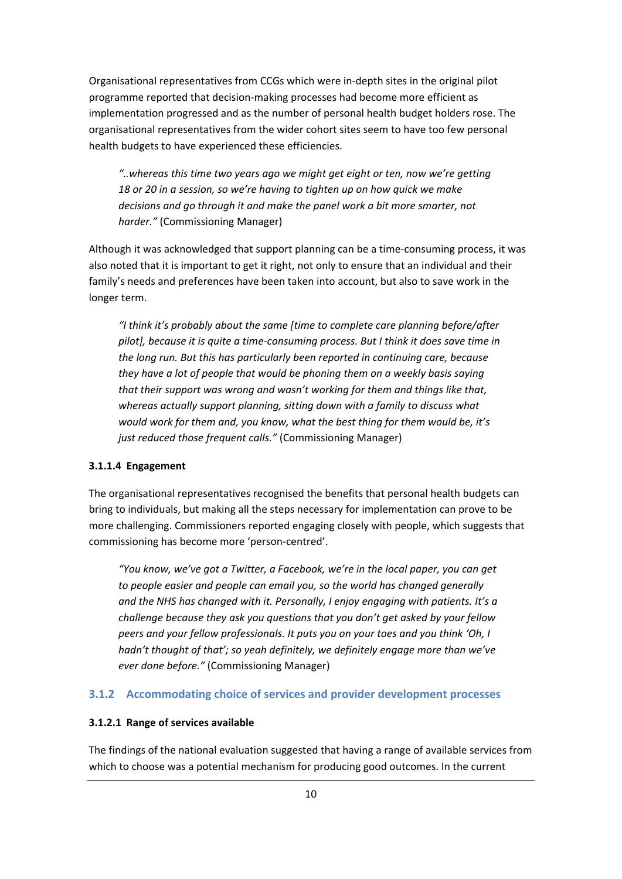Organisational representatives from CCGs which were in-depth sites in the original pilot programme reported that decision-making processes had become more efficient as implementation progressed and as the number of personal health budget holders rose. The organisational representatives from the wider cohort sites seem to have too few personal health budgets to have experienced these efficiencies.

*"..whereas this time two years ago we might get eight or ten, now we're getting 18 or 20 in a session, so we're having to tighten up on how quick we make decisions and go through it and make the panel work a bit more smarter, not harder."* (Commissioning Manager)

Although it was acknowledged that support planning can be a time-consuming process, it was also noted that it is important to get it right, not only to ensure that an individual and their family's needs and preferences have been taken into account, but also to save work in the longer term.

*"I think it's probably about the same [time to complete care planning before/after pilot], because it is quite a time-consuming process. But I think it does save time in the long run. But this has particularly been reported in continuing care, because they have a lot of people that would be phoning them on a weekly basis saying that their support was wrong and wasn't working for them and things like that, whereas actually support planning, sitting down with a family to discuss what would work for them and, you know, what the best thing for them would be, it's just reduced those frequent calls."* (Commissioning Manager)

#### **3.1.1.4 Engagement**

The organisational representatives recognised the benefits that personal health budgets can bring to individuals, but making all the steps necessary for implementation can prove to be more challenging. Commissioners reported engaging closely with people, which suggests that commissioning has become more 'person-centred'.

*"You know, we've got a Twitter, a Facebook, we're in the local paper, you can get to people easier and people can email you, so the world has changed generally and the NHS has changed with it. Personally, I enjoy engaging with patients. It's a challenge because they ask you questions that you don't get asked by your fellow peers and your fellow professionals. It puts you on your toes and you think 'Oh, I hadn't thought of that'; so yeah definitely, we definitely engage more than we've ever done before."* (Commissioning Manager)

#### **3.1.2 Accommodating choice of services and provider development processes**

#### **3.1.2.1 Range of services available**

The findings of the national evaluation suggested that having a range of available services from which to choose was a potential mechanism for producing good outcomes. In the current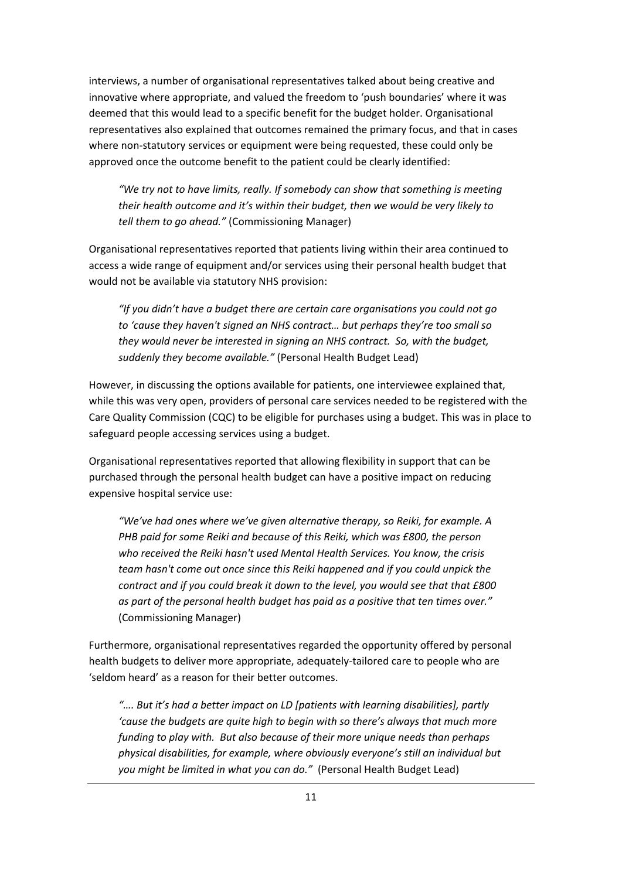interviews, a number of organisational representatives talked about being creative and innovative where appropriate, and valued the freedom to 'push boundaries' where it was deemed that this would lead to a specific benefit for the budget holder. Organisational representatives also explained that outcomes remained the primary focus, and that in cases where non-statutory services or equipment were being requested, these could only be approved once the outcome benefit to the patient could be clearly identified:

*"We try not to have limits, really. If somebody can show that something is meeting their health outcome and it's within their budget, then we would be very likely to tell them to go ahead."* (Commissioning Manager)

Organisational representatives reported that patients living within their area continued to access a wide range of equipment and/or services using their personal health budget that would not be available via statutory NHS provision:

*"If you didn't have a budget there are certain care organisations you could not go to 'cause they haven't signed an NHS contract… but perhaps they're too small so they would never be interested in signing an NHS contract. So, with the budget, suddenly they become available."* (Personal Health Budget Lead)

However, in discussing the options available for patients, one interviewee explained that, while this was very open, providers of personal care services needed to be registered with the Care Quality Commission (CQC) to be eligible for purchases using a budget. This was in place to safeguard people accessing services using a budget.

Organisational representatives reported that allowing flexibility in support that can be purchased through the personal health budget can have a positive impact on reducing expensive hospital service use:

*"We've had ones where we've given alternative therapy, so Reiki, for example. A PHB paid for some Reiki and because of this Reiki, which was £800, the person who received the Reiki hasn't used Mental Health Services. You know, the crisis team hasn't come out once since this Reiki happened and if you could unpick the contract and if you could break it down to the level, you would see that that £800 as part of the personal health budget has paid as a positive that ten times over."*  (Commissioning Manager)

Furthermore, organisational representatives regarded the opportunity offered by personal health budgets to deliver more appropriate, adequately-tailored care to people who are 'seldom heard' as a reason for their better outcomes.

*"…. But it's had a better impact on LD [patients with learning disabilities], partly 'cause the budgets are quite high to begin with so there's always that much more funding to play with. But also because of their more unique needs than perhaps physical disabilities, for example, where obviously everyone's still an individual but you might be limited in what you can do."* (Personal Health Budget Lead)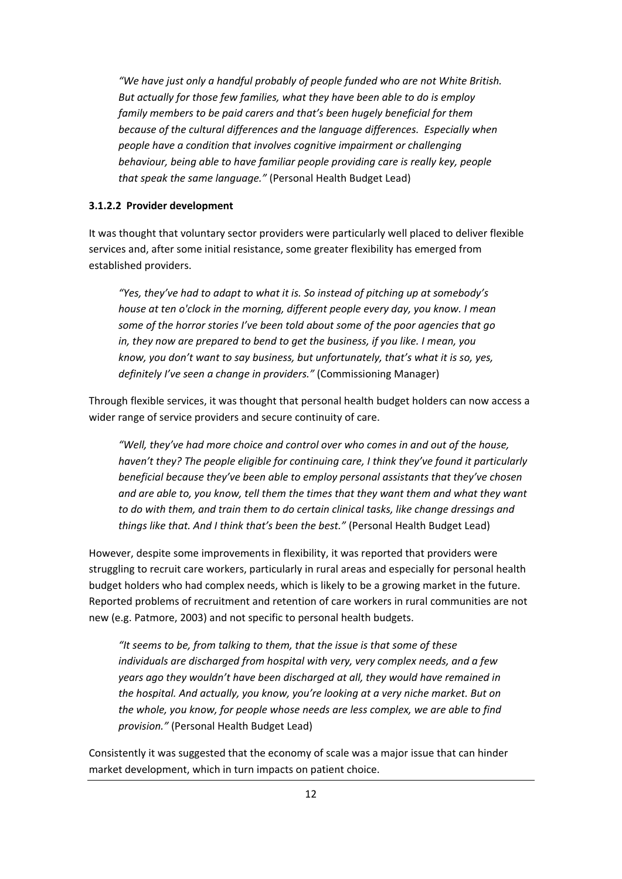*"We have just only a handful probably of people funded who are not White British. But actually for those few families, what they have been able to do is employ family members to be paid carers and that's been hugely beneficial for them because of the cultural differences and the language differences. Especially when people have a condition that involves cognitive impairment or challenging behaviour, being able to have familiar people providing care is really key, people that speak the same language."* (Personal Health Budget Lead)

#### **3.1.2.2 Provider development**

It was thought that voluntary sector providers were particularly well placed to deliver flexible services and, after some initial resistance, some greater flexibility has emerged from established providers.

*"Yes, they've had to adapt to what it is. So instead of pitching up at somebody's house at ten o'clock in the morning, different people every day, you know. I mean some of the horror stories I've been told about some of the poor agencies that go in, they now are prepared to bend to get the business, if you like. I mean, you know, you don't want to say business, but unfortunately, that's what it is so, yes, definitely I've seen a change in providers."* (Commissioning Manager)

Through flexible services, it was thought that personal health budget holders can now access a wider range of service providers and secure continuity of care.

*"Well, they've had more choice and control over who comes in and out of the house, haven't they? The people eligible for continuing care, I think they've found it particularly beneficial because they've been able to employ personal assistants that they've chosen and are able to, you know, tell them the times that they want them and what they want to do with them, and train them to do certain clinical tasks, like change dressings and things like that. And I think that's been the best."* (Personal Health Budget Lead)

However, despite some improvements in flexibility, it was reported that providers were struggling to recruit care workers, particularly in rural areas and especially for personal health budget holders who had complex needs, which is likely to be a growing market in the future. Reported problems of recruitment and retention of care workers in rural communities are not new (e.g. Patmore, 2003) and not specific to personal health budgets.

*"It seems to be, from talking to them, that the issue is that some of these individuals are discharged from hospital with very, very complex needs, and a few years ago they wouldn't have been discharged at all, they would have remained in the hospital. And actually, you know, you're looking at a very niche market. But on the whole, you know, for people whose needs are less complex, we are able to find provision."* (Personal Health Budget Lead)

Consistently it was suggested that the economy of scale was a major issue that can hinder market development, which in turn impacts on patient choice.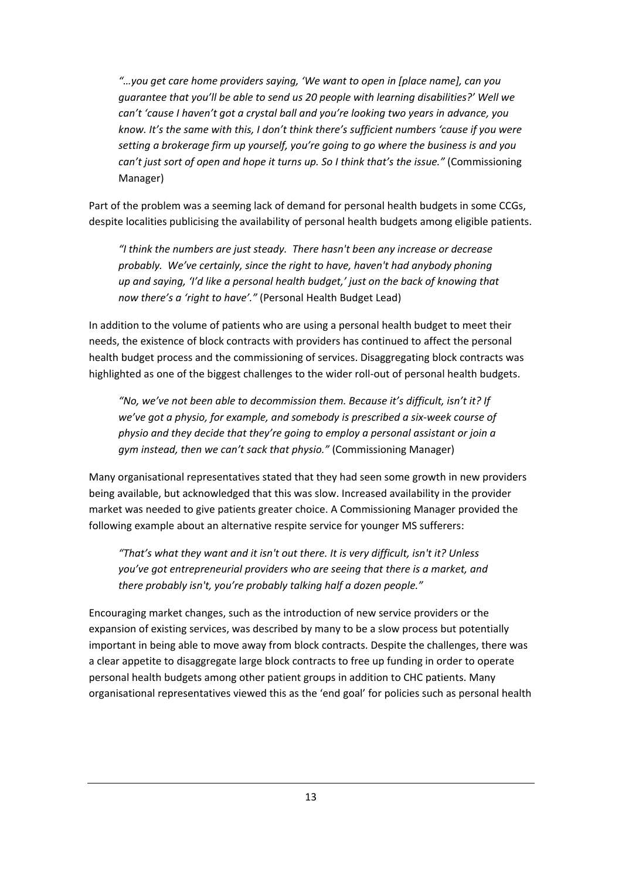*"…you get care home providers saying, 'We want to open in [place name], can you guarantee that you'll be able to send us 20 people with learning disabilities?' Well we can't 'cause I haven't got a crystal ball and you're looking two years in advance, you know. It's the same with this, I don't think there's sufficient numbers 'cause if you were setting a brokerage firm up yourself, you're going to go where the business is and you can't just sort of open and hope it turns up. So I think that's the issue."* (Commissioning Manager)

Part of the problem was a seeming lack of demand for personal health budgets in some CCGs, despite localities publicising the availability of personal health budgets among eligible patients.

*"I think the numbers are just steady. There hasn't been any increase or decrease probably. We've certainly, since the right to have, haven't had anybody phoning up and saying, 'I'd like a personal health budget,' just on the back of knowing that now there's a 'right to have'."* (Personal Health Budget Lead)

In addition to the volume of patients who are using a personal health budget to meet their needs, the existence of block contracts with providers has continued to affect the personal health budget process and the commissioning of services. Disaggregating block contracts was highlighted as one of the biggest challenges to the wider roll-out of personal health budgets.

*"No, we've not been able to decommission them. Because it's difficult, isn't it? If we've got a physio, for example, and somebody is prescribed a six-week course of physio and they decide that they're going to employ a personal assistant or join a gym instead, then we can't sack that physio."* (Commissioning Manager)

Many organisational representatives stated that they had seen some growth in new providers being available, but acknowledged that this was slow. Increased availability in the provider market was needed to give patients greater choice. A Commissioning Manager provided the following example about an alternative respite service for younger MS sufferers:

*"That's what they want and it isn't out there. It is very difficult, isn't it? Unless you've got entrepreneurial providers who are seeing that there is a market, and there probably isn't, you're probably talking half a dozen people."* 

Encouraging market changes, such as the introduction of new service providers or the expansion of existing services, was described by many to be a slow process but potentially important in being able to move away from block contracts. Despite the challenges, there was a clear appetite to disaggregate large block contracts to free up funding in order to operate personal health budgets among other patient groups in addition to CHC patients. Many organisational representatives viewed this as the 'end goal' for policies such as personal health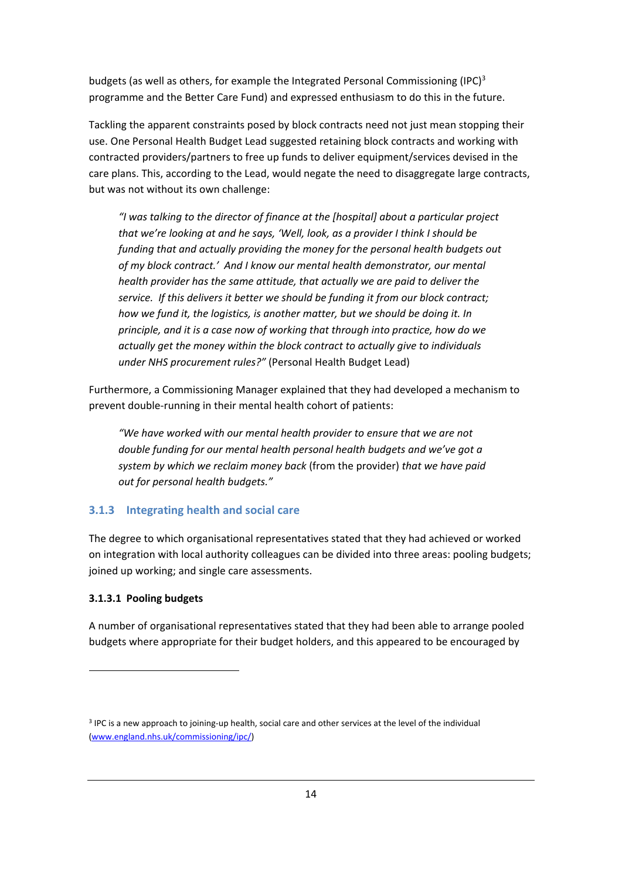budgets (as well as others, for example the Integrated Personal Commissioning (IPC)<sup>3</sup> programme and the Better Care Fund) and expressed enthusiasm to do this in the future.

Tackling the apparent constraints posed by block contracts need not just mean stopping their use. One Personal Health Budget Lead suggested retaining block contracts and working with contracted providers/partners to free up funds to deliver equipment/services devised in the care plans. This, according to the Lead, would negate the need to disaggregate large contracts, but was not without its own challenge:

*"I was talking to the director of finance at the [hospital] about a particular project that we're looking at and he says, 'Well, look, as a provider I think I should be funding that and actually providing the money for the personal health budgets out of my block contract.' And I know our mental health demonstrator, our mental health provider has the same attitude, that actually we are paid to deliver the service. If this delivers it better we should be funding it from our block contract; how we fund it, the logistics, is another matter, but we should be doing it. In principle, and it is a case now of working that through into practice, how do we actually get the money within the block contract to actually give to individuals under NHS procurement rules?"* (Personal Health Budget Lead)

Furthermore, a Commissioning Manager explained that they had developed a mechanism to prevent double-running in their mental health cohort of patients:

*"We have worked with our mental health provider to ensure that we are not double funding for our mental health personal health budgets and we've got a system by which we reclaim money back* (from the provider) *that we have paid out for personal health budgets."* 

#### **3.1.3 Integrating health and social care**

The degree to which organisational representatives stated that they had achieved or worked on integration with local authority colleagues can be divided into three areas: pooling budgets; joined up working; and single care assessments.

#### **3.1.3.1 Pooling budgets**

1

A number of organisational representatives stated that they had been able to arrange pooled budgets where appropriate for their budget holders, and this appeared to be encouraged by

<sup>3</sup> IPC is a new approach to joining-up health, social care and other services at the level of the individual (www.england.nhs.uk/commissioning/ipc/)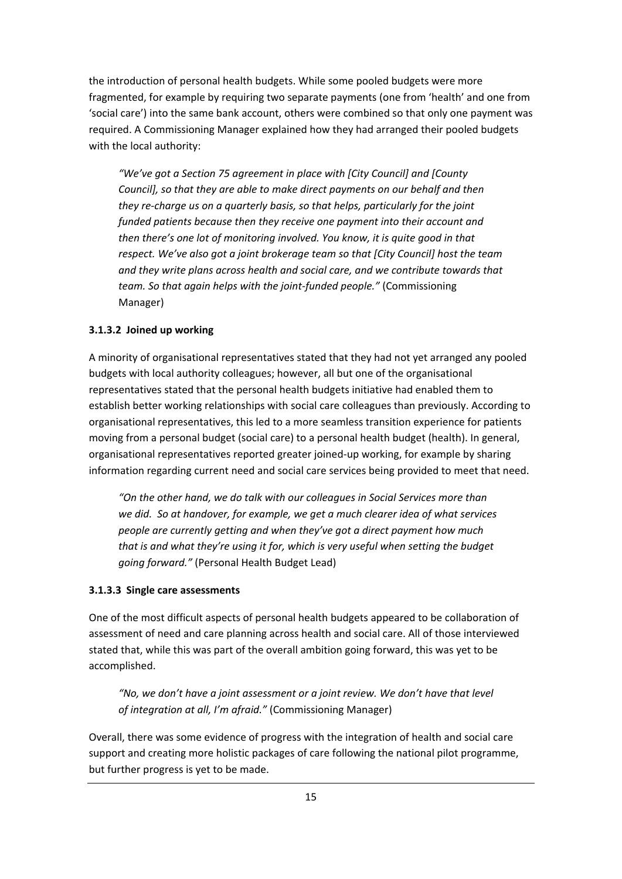the introduction of personal health budgets. While some pooled budgets were more fragmented, for example by requiring two separate payments (one from 'health' and one from 'social care') into the same bank account, others were combined so that only one payment was required. A Commissioning Manager explained how they had arranged their pooled budgets with the local authority:

*"We've got a Section 75 agreement in place with [City Council] and [County Council], so that they are able to make direct payments on our behalf and then they re-charge us on a quarterly basis, so that helps, particularly for the joint funded patients because then they receive one payment into their account and then there's one lot of monitoring involved. You know, it is quite good in that respect. We've also got a joint brokerage team so that [City Council] host the team and they write plans across health and social care, and we contribute towards that team. So that again helps with the joint-funded people."* (Commissioning Manager)

#### **3.1.3.2 Joined up working**

A minority of organisational representatives stated that they had not yet arranged any pooled budgets with local authority colleagues; however, all but one of the organisational representatives stated that the personal health budgets initiative had enabled them to establish better working relationships with social care colleagues than previously. According to organisational representatives, this led to a more seamless transition experience for patients moving from a personal budget (social care) to a personal health budget (health). In general, organisational representatives reported greater joined-up working, for example by sharing information regarding current need and social care services being provided to meet that need.

*"On the other hand, we do talk with our colleagues in Social Services more than we did. So at handover, for example, we get a much clearer idea of what services people are currently getting and when they've got a direct payment how much that is and what they're using it for, which is very useful when setting the budget going forward."* (Personal Health Budget Lead)

#### **3.1.3.3 Single care assessments**

One of the most difficult aspects of personal health budgets appeared to be collaboration of assessment of need and care planning across health and social care. All of those interviewed stated that, while this was part of the overall ambition going forward, this was yet to be accomplished.

*"No, we don't have a joint assessment or a joint review. We don't have that level of integration at all, I'm afraid."* (Commissioning Manager)

Overall, there was some evidence of progress with the integration of health and social care support and creating more holistic packages of care following the national pilot programme, but further progress is yet to be made.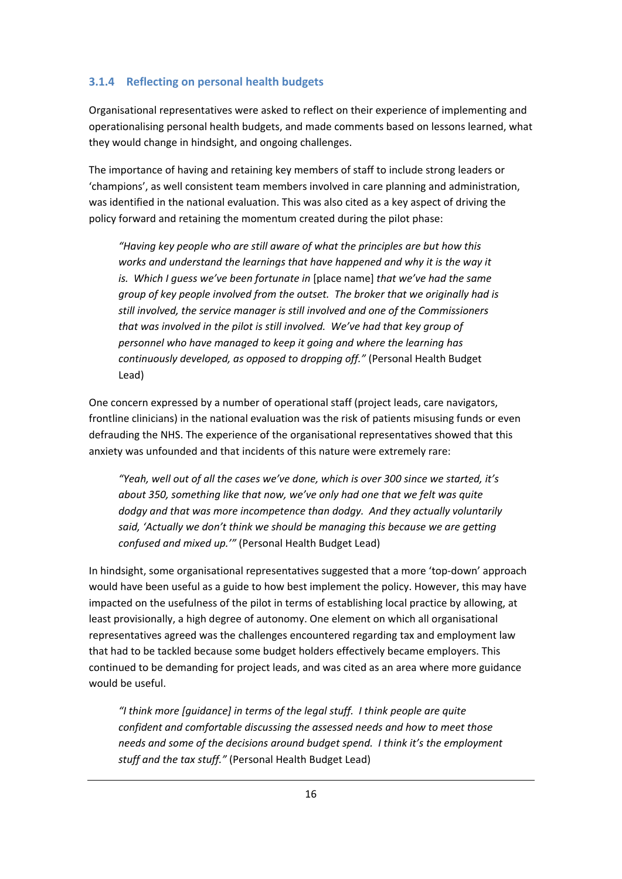#### **3.1.4 Reflecting on personal health budgets**

Organisational representatives were asked to reflect on their experience of implementing and operationalising personal health budgets, and made comments based on lessons learned, what they would change in hindsight, and ongoing challenges.

The importance of having and retaining key members of staff to include strong leaders or 'champions', as well consistent team members involved in care planning and administration, was identified in the national evaluation. This was also cited as a key aspect of driving the policy forward and retaining the momentum created during the pilot phase:

*"Having key people who are still aware of what the principles are but how this*  works and understand the learnings that have happened and why it is the way it *is. Which I guess we've been fortunate in* [place name] *that we've had the same group of key people involved from the outset. The broker that we originally had is still involved, the service manager is still involved and one of the Commissioners that was involved in the pilot is still involved. We've had that key group of personnel who have managed to keep it going and where the learning has continuously developed, as opposed to dropping off."* (Personal Health Budget Lead)

One concern expressed by a number of operational staff (project leads, care navigators, frontline clinicians) in the national evaluation was the risk of patients misusing funds or even defrauding the NHS. The experience of the organisational representatives showed that this anxiety was unfounded and that incidents of this nature were extremely rare:

*"Yeah, well out of all the cases we've done, which is over 300 since we started, it's about 350, something like that now, we've only had one that we felt was quite dodgy and that was more incompetence than dodgy. And they actually voluntarily said, 'Actually we don't think we should be managing this because we are getting confused and mixed up.'"* (Personal Health Budget Lead)

In hindsight, some organisational representatives suggested that a more 'top-down' approach would have been useful as a guide to how best implement the policy. However, this may have impacted on the usefulness of the pilot in terms of establishing local practice by allowing, at least provisionally, a high degree of autonomy. One element on which all organisational representatives agreed was the challenges encountered regarding tax and employment law that had to be tackled because some budget holders effectively became employers. This continued to be demanding for project leads, and was cited as an area where more guidance would be useful.

*"I think more [guidance] in terms of the legal stuff. I think people are quite confident and comfortable discussing the assessed needs and how to meet those needs and some of the decisions around budget spend. I think it's the employment stuff and the tax stuff."* (Personal Health Budget Lead)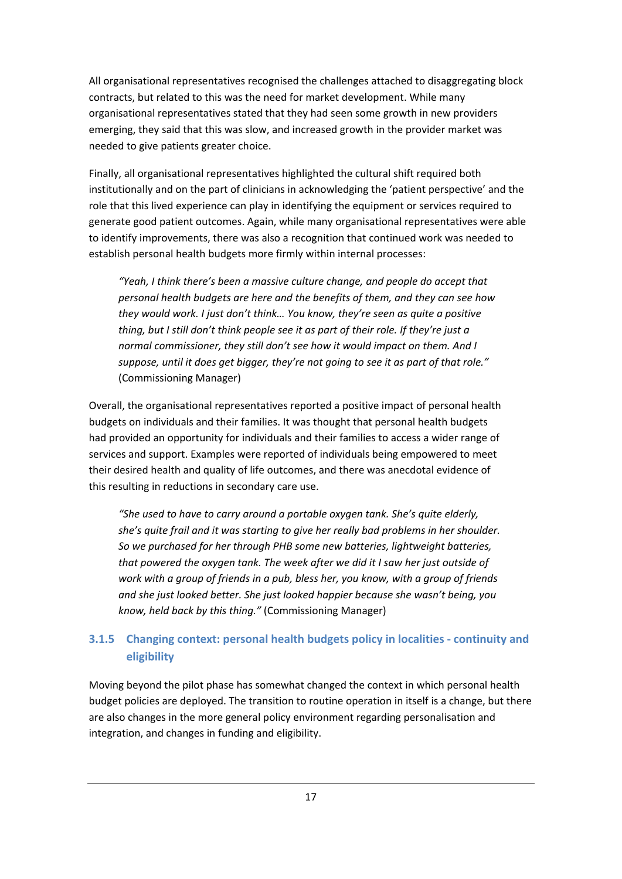All organisational representatives recognised the challenges attached to disaggregating block contracts, but related to this was the need for market development. While many organisational representatives stated that they had seen some growth in new providers emerging, they said that this was slow, and increased growth in the provider market was needed to give patients greater choice.

Finally, all organisational representatives highlighted the cultural shift required both institutionally and on the part of clinicians in acknowledging the 'patient perspective' and the role that this lived experience can play in identifying the equipment or services required to generate good patient outcomes. Again, while many organisational representatives were able to identify improvements, there was also a recognition that continued work was needed to establish personal health budgets more firmly within internal processes:

*"Yeah, I think there's been a massive culture change, and people do accept that personal health budgets are here and the benefits of them, and they can see how they would work. I just don't think… You know, they're seen as quite a positive thing, but I still don't think people see it as part of their role. If they're just a normal commissioner, they still don't see how it would impact on them. And I suppose, until it does get bigger, they're not going to see it as part of that role."*  (Commissioning Manager)

Overall, the organisational representatives reported a positive impact of personal health budgets on individuals and their families. It was thought that personal health budgets had provided an opportunity for individuals and their families to access a wider range of services and support. Examples were reported of individuals being empowered to meet their desired health and quality of life outcomes, and there was anecdotal evidence of this resulting in reductions in secondary care use.

*"She used to have to carry around a portable oxygen tank. She's quite elderly, she's quite frail and it was starting to give her really bad problems in her shoulder. So we purchased for her through PHB some new batteries, lightweight batteries, that powered the oxygen tank. The week after we did it I saw her just outside of work with a group of friends in a pub, bless her, you know, with a group of friends and she just looked better. She just looked happier because she wasn't being, you know, held back by this thing."* (Commissioning Manager)

#### **3.1.5 Changing context: personal health budgets policy in localities - continuity and eligibility**

Moving beyond the pilot phase has somewhat changed the context in which personal health budget policies are deployed. The transition to routine operation in itself is a change, but there are also changes in the more general policy environment regarding personalisation and integration, and changes in funding and eligibility.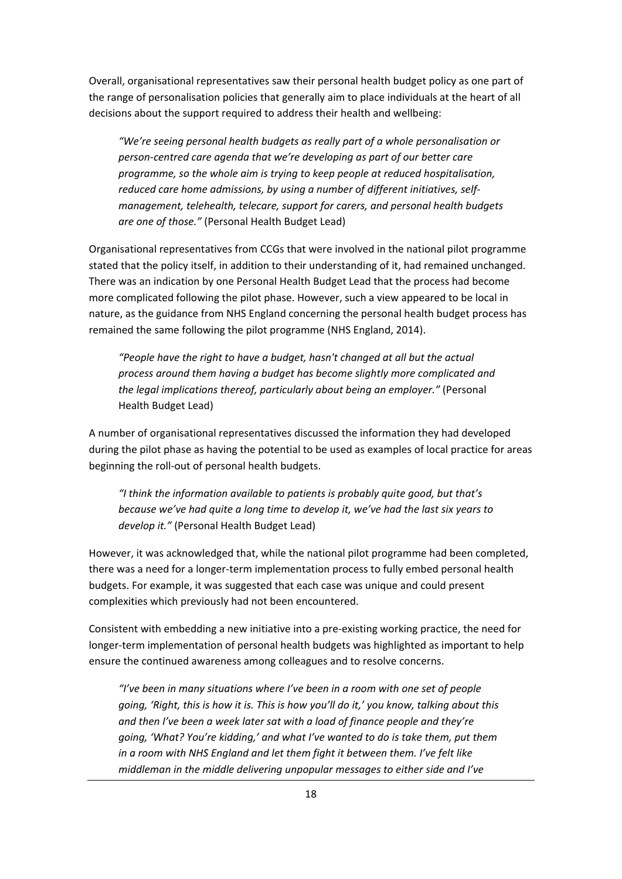Overall, organisational representatives saw their personal health budget policy as one part of the range of personalisation policies that generally aim to place individuals at the heart of all decisions about the support required to address their health and wellbeing:

*"We're seeing personal health budgets as really part of a whole personalisation or person-centred care agenda that we're developing as part of our better care programme, so the whole aim is trying to keep people at reduced hospitalisation, reduced care home admissions, by using a number of different initiatives, selfmanagement, telehealth, telecare, support for carers, and personal health budgets are one of those."* (Personal Health Budget Lead)

Organisational representatives from CCGs that were involved in the national pilot programme stated that the policy itself, in addition to their understanding of it, had remained unchanged. There was an indication by one Personal Health Budget Lead that the process had become more complicated following the pilot phase. However, such a view appeared to be local in nature, as the guidance from NHS England concerning the personal health budget process has remained the same following the pilot programme (NHS England, 2014).

*"People have the right to have a budget, hasn't changed at all but the actual process around them having a budget has become slightly more complicated and the legal implications thereof, particularly about being an employer."* (Personal Health Budget Lead)

A number of organisational representatives discussed the information they had developed during the pilot phase as having the potential to be used as examples of local practice for areas beginning the roll-out of personal health budgets.

*"I think the information available to patients is probably quite good, but that's because we've had quite a long time to develop it, we've had the last six years to develop it."* (Personal Health Budget Lead)

However, it was acknowledged that, while the national pilot programme had been completed, there was a need for a longer-term implementation process to fully embed personal health budgets. For example, it was suggested that each case was unique and could present complexities which previously had not been encountered.

Consistent with embedding a new initiative into a pre-existing working practice, the need for longer-term implementation of personal health budgets was highlighted as important to help ensure the continued awareness among colleagues and to resolve concerns.

*"I've been in many situations where I've been in a room with one set of people going, 'Right, this is how it is. This is how you'll do it,' you know, talking about this and then I've been a week later sat with a load of finance people and they're going, 'What? You're kidding,' and what I've wanted to do is take them, put them in a room with NHS England and let them fight it between them. I've felt like middleman in the middle delivering unpopular messages to either side and I've*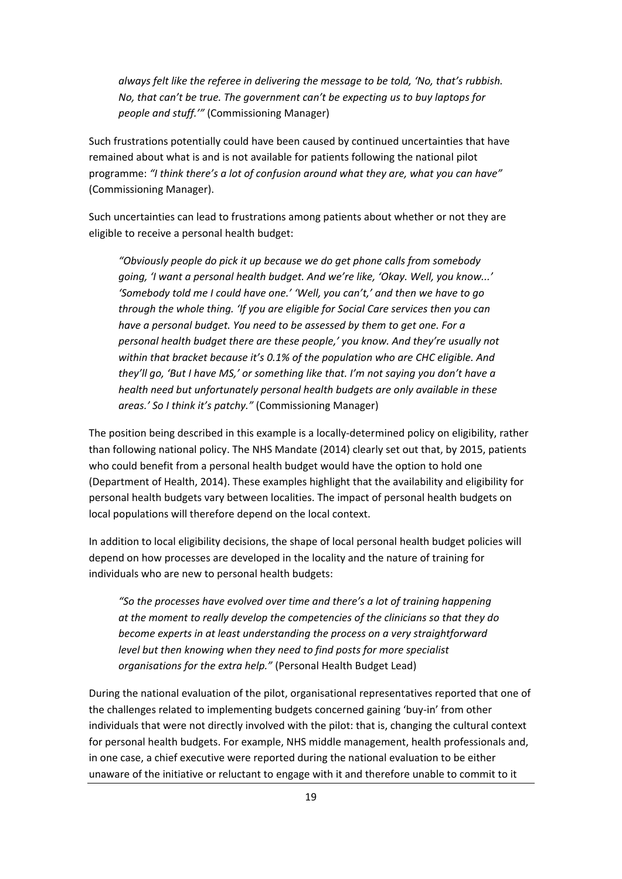*always felt like the referee in delivering the message to be told, 'No, that's rubbish. No, that can't be true. The government can't be expecting us to buy laptops for people and stuff.'"* (Commissioning Manager)

Such frustrations potentially could have been caused by continued uncertainties that have remained about what is and is not available for patients following the national pilot programme: *"I think there's a lot of confusion around what they are, what you can have"* (Commissioning Manager).

Such uncertainties can lead to frustrations among patients about whether or not they are eligible to receive a personal health budget:

*"Obviously people do pick it up because we do get phone calls from somebody going, 'I want a personal health budget. And we're like, 'Okay. Well, you know...' 'Somebody told me I could have one.' 'Well, you can't,' and then we have to go through the whole thing. 'If you are eligible for Social Care services then you can have a personal budget. You need to be assessed by them to get one. For a personal health budget there are these people,' you know. And they're usually not within that bracket because it's 0.1% of the population who are CHC eligible. And they'll go, 'But I have MS,' or something like that. I'm not saying you don't have a health need but unfortunately personal health budgets are only available in these areas.' So I think it's patchy."* (Commissioning Manager)

The position being described in this example is a locally-determined policy on eligibility, rather than following national policy. The NHS Mandate (2014) clearly set out that, by 2015, patients who could benefit from a personal health budget would have the option to hold one (Department of Health, 2014). These examples highlight that the availability and eligibility for personal health budgets vary between localities. The impact of personal health budgets on local populations will therefore depend on the local context.

In addition to local eligibility decisions, the shape of local personal health budget policies will depend on how processes are developed in the locality and the nature of training for individuals who are new to personal health budgets:

*"So the processes have evolved over time and there's a lot of training happening at the moment to really develop the competencies of the clinicians so that they do become experts in at least understanding the process on a very straightforward level but then knowing when they need to find posts for more specialist organisations for the extra help."* (Personal Health Budget Lead)

During the national evaluation of the pilot, organisational representatives reported that one of the challenges related to implementing budgets concerned gaining 'buy-in' from other individuals that were not directly involved with the pilot: that is, changing the cultural context for personal health budgets. For example, NHS middle management, health professionals and, in one case, a chief executive were reported during the national evaluation to be either unaware of the initiative or reluctant to engage with it and therefore unable to commit to it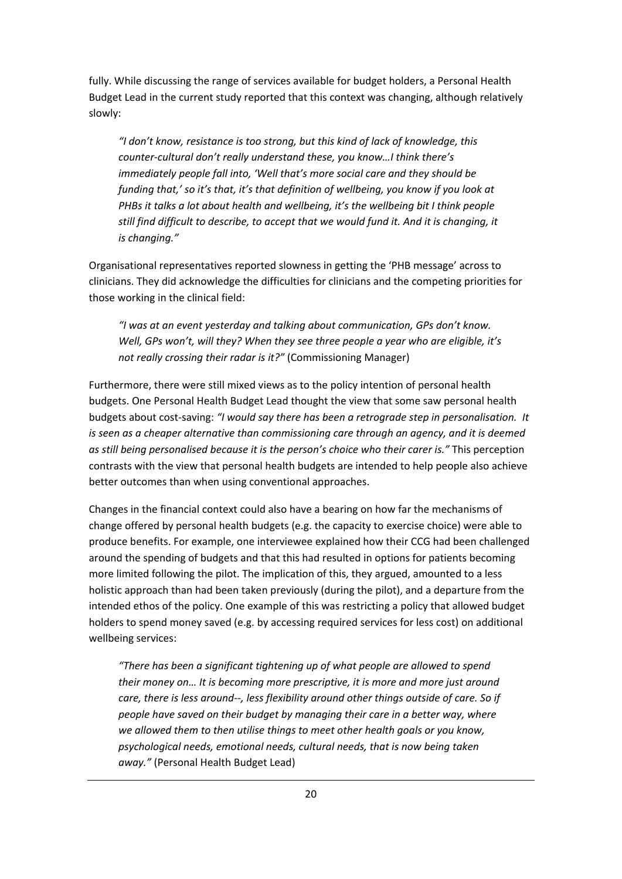fully. While discussing the range of services available for budget holders, a Personal Health Budget Lead in the current study reported that this context was changing, although relatively slowly:

*"I don't know, resistance is too strong, but this kind of lack of knowledge, this counter-cultural don't really understand these, you know…I think there's immediately people fall into, 'Well that's more social care and they should be funding that,' so it's that, it's that definition of wellbeing, you know if you look at PHBs it talks a lot about health and wellbeing, it's the wellbeing bit I think people still find difficult to describe, to accept that we would fund it. And it is changing, it is changing."* 

Organisational representatives reported slowness in getting the 'PHB message' across to clinicians. They did acknowledge the difficulties for clinicians and the competing priorities for those working in the clinical field:

*"I was at an event yesterday and talking about communication, GPs don't know. Well, GPs won't, will they? When they see three people a year who are eligible, it's not really crossing their radar is it?"* (Commissioning Manager)

Furthermore, there were still mixed views as to the policy intention of personal health budgets. One Personal Health Budget Lead thought the view that some saw personal health budgets about cost-saving: *"I would say there has been a retrograde step in personalisation. It is seen as a cheaper alternative than commissioning care through an agency, and it is deemed as still being personalised because it is the person's choice who their carer is."* This perception contrasts with the view that personal health budgets are intended to help people also achieve better outcomes than when using conventional approaches.

Changes in the financial context could also have a bearing on how far the mechanisms of change offered by personal health budgets (e.g. the capacity to exercise choice) were able to produce benefits. For example, one interviewee explained how their CCG had been challenged around the spending of budgets and that this had resulted in options for patients becoming more limited following the pilot. The implication of this, they argued, amounted to a less holistic approach than had been taken previously (during the pilot), and a departure from the intended ethos of the policy. One example of this was restricting a policy that allowed budget holders to spend money saved (e.g. by accessing required services for less cost) on additional wellbeing services:

*"There has been a significant tightening up of what people are allowed to spend their money on… It is becoming more prescriptive, it is more and more just around care, there is less around--, less flexibility around other things outside of care. So if people have saved on their budget by managing their care in a better way, where we allowed them to then utilise things to meet other health goals or you know, psychological needs, emotional needs, cultural needs, that is now being taken away."* (Personal Health Budget Lead)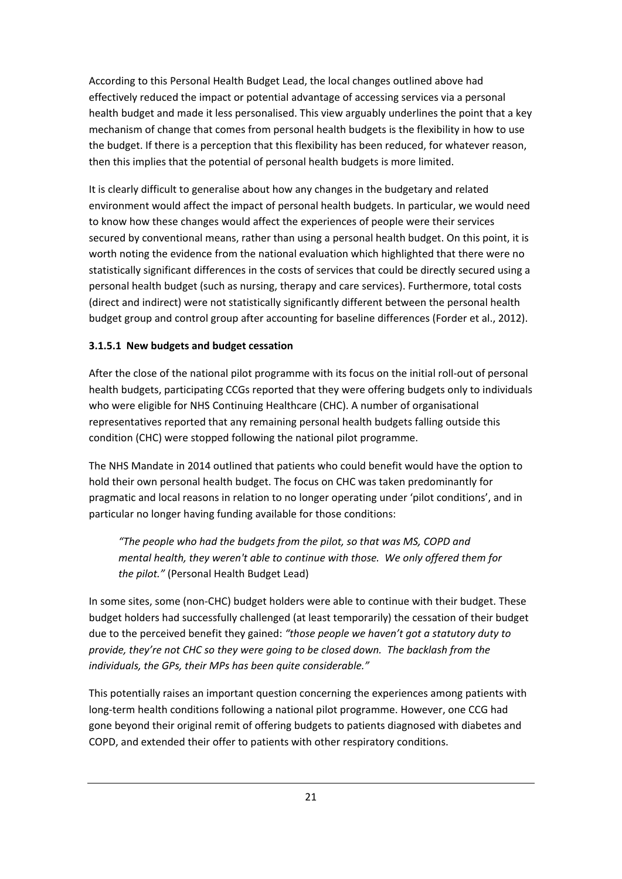According to this Personal Health Budget Lead, the local changes outlined above had effectively reduced the impact or potential advantage of accessing services via a personal health budget and made it less personalised. This view arguably underlines the point that a key mechanism of change that comes from personal health budgets is the flexibility in how to use the budget. If there is a perception that this flexibility has been reduced, for whatever reason, then this implies that the potential of personal health budgets is more limited.

It is clearly difficult to generalise about how any changes in the budgetary and related environment would affect the impact of personal health budgets. In particular, we would need to know how these changes would affect the experiences of people were their services secured by conventional means, rather than using a personal health budget. On this point, it is worth noting the evidence from the national evaluation which highlighted that there were no statistically significant differences in the costs of services that could be directly secured using a personal health budget (such as nursing, therapy and care services). Furthermore, total costs (direct and indirect) were not statistically significantly different between the personal health budget group and control group after accounting for baseline differences (Forder et al., 2012).

#### **3.1.5.1 New budgets and budget cessation**

After the close of the national pilot programme with its focus on the initial roll-out of personal health budgets, participating CCGs reported that they were offering budgets only to individuals who were eligible for NHS Continuing Healthcare (CHC). A number of organisational representatives reported that any remaining personal health budgets falling outside this condition (CHC) were stopped following the national pilot programme.

The NHS Mandate in 2014 outlined that patients who could benefit would have the option to hold their own personal health budget. The focus on CHC was taken predominantly for pragmatic and local reasons in relation to no longer operating under 'pilot conditions', and in particular no longer having funding available for those conditions:

*"The people who had the budgets from the pilot, so that was MS, COPD and mental health, they weren't able to continue with those. We only offered them for the pilot."* (Personal Health Budget Lead)

In some sites, some (non-CHC) budget holders were able to continue with their budget. These budget holders had successfully challenged (at least temporarily) the cessation of their budget due to the perceived benefit they gained: *"those people we haven't got a statutory duty to provide, they're not CHC so they were going to be closed down. The backlash from the individuals, the GPs, their MPs has been quite considerable."*

This potentially raises an important question concerning the experiences among patients with long-term health conditions following a national pilot programme. However, one CCG had gone beyond their original remit of offering budgets to patients diagnosed with diabetes and COPD, and extended their offer to patients with other respiratory conditions.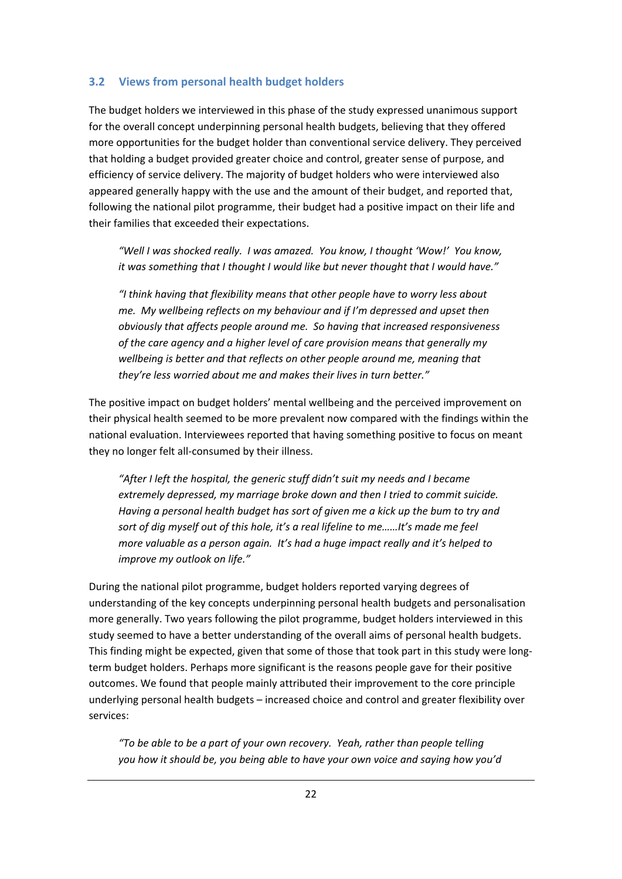#### **3.2 Views from personal health budget holders**

The budget holders we interviewed in this phase of the study expressed unanimous support for the overall concept underpinning personal health budgets, believing that they offered more opportunities for the budget holder than conventional service delivery. They perceived that holding a budget provided greater choice and control, greater sense of purpose, and efficiency of service delivery. The majority of budget holders who were interviewed also appeared generally happy with the use and the amount of their budget, and reported that, following the national pilot programme, their budget had a positive impact on their life and their families that exceeded their expectations.

*"Well I was shocked really. I was amazed. You know, I thought 'Wow!' You know, it was something that I thought I would like but never thought that I would have."* 

*"I think having that flexibility means that other people have to worry less about me. My wellbeing reflects on my behaviour and if I'm depressed and upset then obviously that affects people around me. So having that increased responsiveness of the care agency and a higher level of care provision means that generally my wellbeing is better and that reflects on other people around me, meaning that they're less worried about me and makes their lives in turn better."* 

The positive impact on budget holders' mental wellbeing and the perceived improvement on their physical health seemed to be more prevalent now compared with the findings within the national evaluation. Interviewees reported that having something positive to focus on meant they no longer felt all-consumed by their illness.

*"After I left the hospital, the generic stuff didn't suit my needs and I became extremely depressed, my marriage broke down and then I tried to commit suicide. Having a personal health budget has sort of given me a kick up the bum to try and sort of dig myself out of this hole, it's a real lifeline to me……It's made me feel more valuable as a person again. It's had a huge impact really and it's helped to improve my outlook on life."* 

During the national pilot programme, budget holders reported varying degrees of understanding of the key concepts underpinning personal health budgets and personalisation more generally. Two years following the pilot programme, budget holders interviewed in this study seemed to have a better understanding of the overall aims of personal health budgets. This finding might be expected, given that some of those that took part in this study were longterm budget holders. Perhaps more significant is the reasons people gave for their positive outcomes. We found that people mainly attributed their improvement to the core principle underlying personal health budgets – increased choice and control and greater flexibility over services:

*"To be able to be a part of your own recovery. Yeah, rather than people telling you how it should be, you being able to have your own voice and saying how you'd*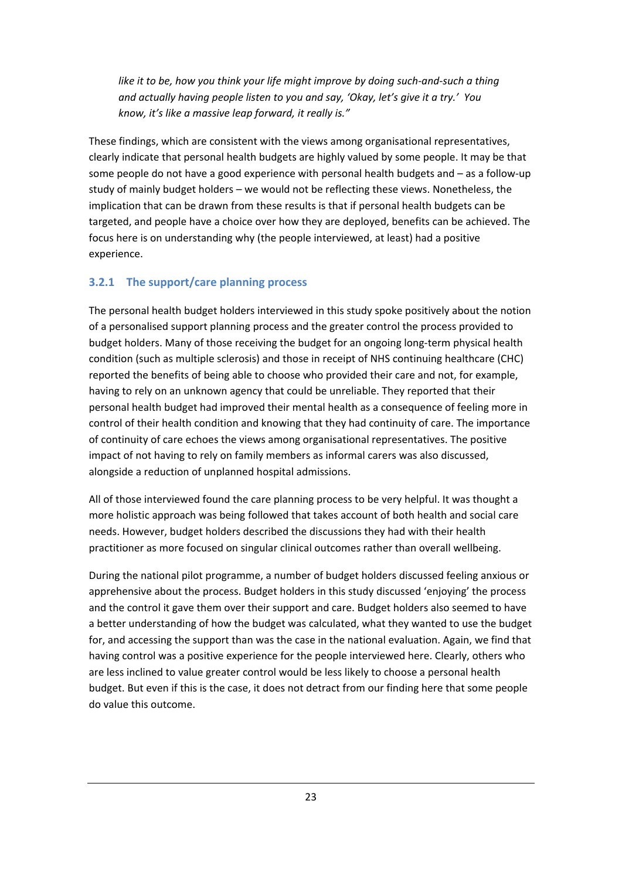*like it to be, how you think your life might improve by doing such-and-such a thing and actually having people listen to you and say, 'Okay, let's give it a try.' You know, it's like a massive leap forward, it really is."* 

These findings, which are consistent with the views among organisational representatives, clearly indicate that personal health budgets are highly valued by some people. It may be that some people do not have a good experience with personal health budgets and – as a follow-up study of mainly budget holders – we would not be reflecting these views. Nonetheless, the implication that can be drawn from these results is that if personal health budgets can be targeted, and people have a choice over how they are deployed, benefits can be achieved. The focus here is on understanding why (the people interviewed, at least) had a positive experience.

#### **3.2.1 The support/care planning process**

The personal health budget holders interviewed in this study spoke positively about the notion of a personalised support planning process and the greater control the process provided to budget holders. Many of those receiving the budget for an ongoing long-term physical health condition (such as multiple sclerosis) and those in receipt of NHS continuing healthcare (CHC) reported the benefits of being able to choose who provided their care and not, for example, having to rely on an unknown agency that could be unreliable. They reported that their personal health budget had improved their mental health as a consequence of feeling more in control of their health condition and knowing that they had continuity of care. The importance of continuity of care echoes the views among organisational representatives. The positive impact of not having to rely on family members as informal carers was also discussed, alongside a reduction of unplanned hospital admissions.

All of those interviewed found the care planning process to be very helpful. It was thought a more holistic approach was being followed that takes account of both health and social care needs. However, budget holders described the discussions they had with their health practitioner as more focused on singular clinical outcomes rather than overall wellbeing.

During the national pilot programme, a number of budget holders discussed feeling anxious or apprehensive about the process. Budget holders in this study discussed 'enjoying' the process and the control it gave them over their support and care. Budget holders also seemed to have a better understanding of how the budget was calculated, what they wanted to use the budget for, and accessing the support than was the case in the national evaluation. Again, we find that having control was a positive experience for the people interviewed here. Clearly, others who are less inclined to value greater control would be less likely to choose a personal health budget. But even if this is the case, it does not detract from our finding here that some people do value this outcome.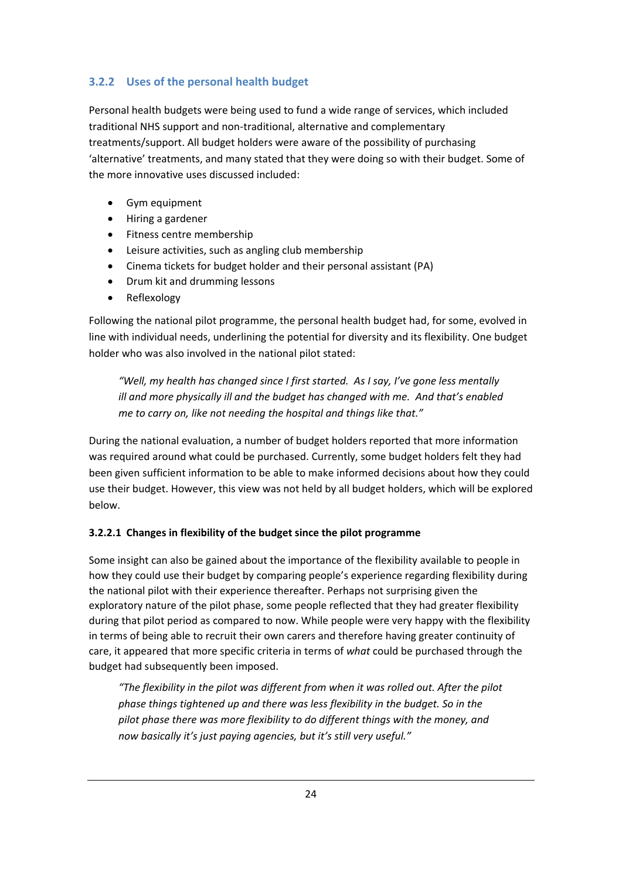#### **3.2.2 Uses of the personal health budget**

Personal health budgets were being used to fund a wide range of services, which included traditional NHS support and non-traditional, alternative and complementary treatments/support. All budget holders were aware of the possibility of purchasing 'alternative' treatments, and many stated that they were doing so with their budget. Some of the more innovative uses discussed included:

- Gym equipment
- Hiring a gardener
- Fitness centre membership
- Leisure activities, such as angling club membership
- Cinema tickets for budget holder and their personal assistant (PA)
- Drum kit and drumming lessons
- Reflexology

Following the national pilot programme, the personal health budget had, for some, evolved in line with individual needs, underlining the potential for diversity and its flexibility. One budget holder who was also involved in the national pilot stated:

*"Well, my health has changed since I first started. As I say, I've gone less mentally ill and more physically ill and the budget has changed with me. And that's enabled me to carry on, like not needing the hospital and things like that."* 

During the national evaluation, a number of budget holders reported that more information was required around what could be purchased. Currently, some budget holders felt they had been given sufficient information to be able to make informed decisions about how they could use their budget. However, this view was not held by all budget holders, which will be explored below.

#### **3.2.2.1 Changes in flexibility of the budget since the pilot programme**

Some insight can also be gained about the importance of the flexibility available to people in how they could use their budget by comparing people's experience regarding flexibility during the national pilot with their experience thereafter. Perhaps not surprising given the exploratory nature of the pilot phase, some people reflected that they had greater flexibility during that pilot period as compared to now. While people were very happy with the flexibility in terms of being able to recruit their own carers and therefore having greater continuity of care, it appeared that more specific criteria in terms of *what* could be purchased through the budget had subsequently been imposed.

*"The flexibility in the pilot was different from when it was rolled out. After the pilot phase things tightened up and there was less flexibility in the budget. So in the pilot phase there was more flexibility to do different things with the money, and now basically it's just paying agencies, but it's still very useful."*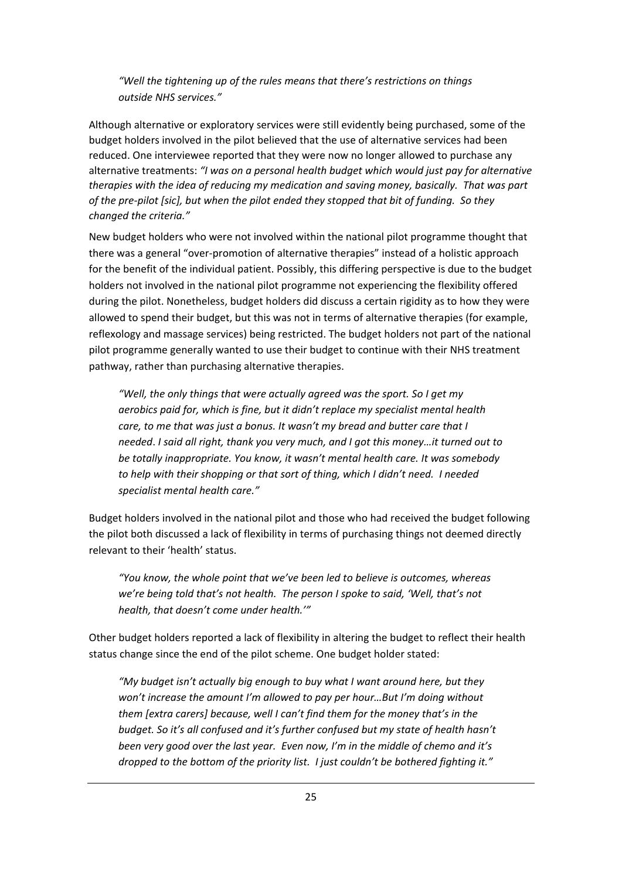*"Well the tightening up of the rules means that there's restrictions on things outside NHS services."* 

Although alternative or exploratory services were still evidently being purchased, some of the budget holders involved in the pilot believed that the use of alternative services had been reduced. One interviewee reported that they were now no longer allowed to purchase any alternative treatments: *"I was on a personal health budget which would just pay for alternative therapies with the idea of reducing my medication and saving money, basically. That was part of the pre-pilot [sic], but when the pilot ended they stopped that bit of funding. So they changed the criteria."* 

New budget holders who were not involved within the national pilot programme thought that there was a general "over-promotion of alternative therapies" instead of a holistic approach for the benefit of the individual patient. Possibly, this differing perspective is due to the budget holders not involved in the national pilot programme not experiencing the flexibility offered during the pilot. Nonetheless, budget holders did discuss a certain rigidity as to how they were allowed to spend their budget, but this was not in terms of alternative therapies (for example, reflexology and massage services) being restricted. The budget holders not part of the national pilot programme generally wanted to use their budget to continue with their NHS treatment pathway, rather than purchasing alternative therapies.

*"Well, the only things that were actually agreed was the sport. So I get my aerobics paid for, which is fine, but it didn't replace my specialist mental health care, to me that was just a bonus. It wasn't my bread and butter care that I needed*. *I said all right, thank you very much, and I got this money…it turned out to be totally inappropriate. You know, it wasn't mental health care. It was somebody to help with their shopping or that sort of thing, which I didn't need. I needed specialist mental health care."* 

Budget holders involved in the national pilot and those who had received the budget following the pilot both discussed a lack of flexibility in terms of purchasing things not deemed directly relevant to their 'health' status.

*"You know, the whole point that we've been led to believe is outcomes, whereas we're being told that's not health. The person I spoke to said, 'Well, that's not health, that doesn't come under health.'"* 

Other budget holders reported a lack of flexibility in altering the budget to reflect their health status change since the end of the pilot scheme. One budget holder stated:

*"My budget isn't actually big enough to buy what I want around here, but they won't increase the amount I'm allowed to pay per hour…But I'm doing without them [extra carers] because, well I can't find them for the money that's in the budget. So it's all confused and it's further confused but my state of health hasn't been very good over the last year. Even now, I'm in the middle of chemo and it's dropped to the bottom of the priority list. I just couldn't be bothered fighting it."*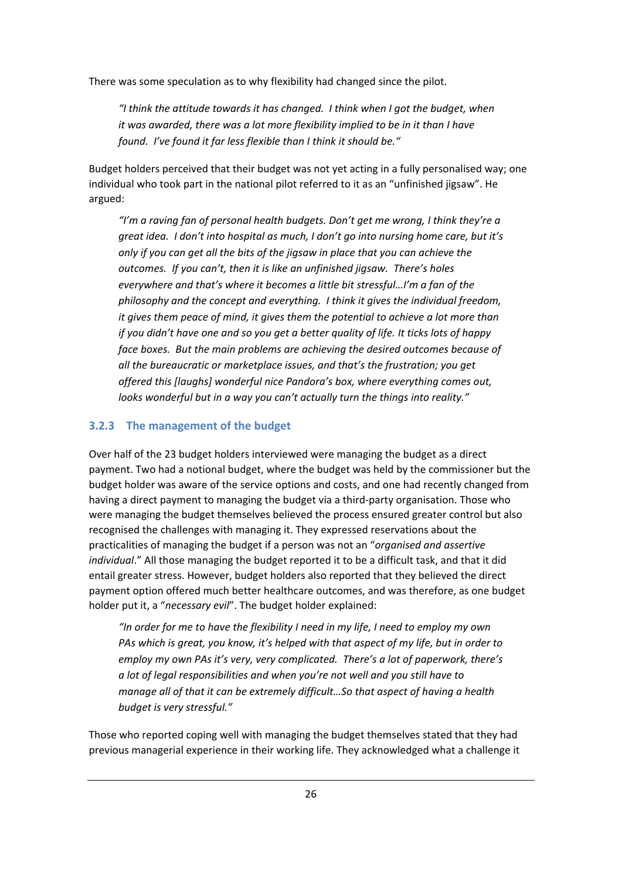There was some speculation as to why flexibility had changed since the pilot.

*"I think the attitude towards it has changed. I think when I got the budget, when it was awarded, there was a lot more flexibility implied to be in it than I have found. I've found it far less flexible than I think it should be."* 

Budget holders perceived that their budget was not yet acting in a fully personalised way; one individual who took part in the national pilot referred to it as an "unfinished jigsaw". He argued:

*"I'm a raving fan of personal health budgets. Don't get me wrong, I think they're a great idea. I don't into hospital as much, I don't go into nursing home care, but it's only if you can get all the bits of the jigsaw in place that you can achieve the outcomes. If you can't, then it is like an unfinished jigsaw. There's holes everywhere and that's where it becomes a little bit stressful…I'm a fan of the philosophy and the concept and everything. I think it gives the individual freedom, it gives them peace of mind, it gives them the potential to achieve a lot more than if you didn't have one and so you get a better quality of life. It ticks lots of happy face boxes. But the main problems are achieving the desired outcomes because of all the bureaucratic or marketplace issues, and that's the frustration; you get offered this [laughs] wonderful nice Pandora's box, where everything comes out, looks wonderful but in a way you can't actually turn the things into reality."* 

#### **3.2.3 The management of the budget**

Over half of the 23 budget holders interviewed were managing the budget as a direct payment. Two had a notional budget, where the budget was held by the commissioner but the budget holder was aware of the service options and costs, and one had recently changed from having a direct payment to managing the budget via a third-party organisation. Those who were managing the budget themselves believed the process ensured greater control but also recognised the challenges with managing it. They expressed reservations about the practicalities of managing the budget if a person was not an "*organised and assertive individual*." All those managing the budget reported it to be a difficult task, and that it did entail greater stress. However, budget holders also reported that they believed the direct payment option offered much better healthcare outcomes, and was therefore, as one budget holder put it, a "*necessary evil*". The budget holder explained:

*"In order for me to have the flexibility I need in my life, I need to employ my own PAs which is great, you know, it's helped with that aspect of my life, but in order to employ my own PAs it's very, very complicated. There's a lot of paperwork, there's a lot of legal responsibilities and when you're not well and you still have to manage all of that it can be extremely difficult…So that aspect of having a health budget is very stressful."* 

Those who reported coping well with managing the budget themselves stated that they had previous managerial experience in their working life. They acknowledged what a challenge it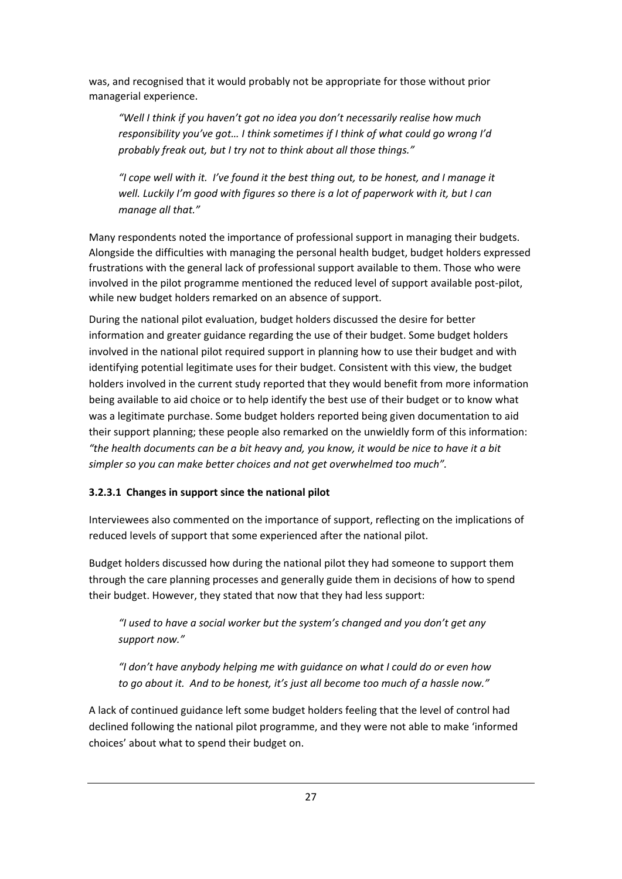was, and recognised that it would probably not be appropriate for those without prior managerial experience.

*"Well I think if you haven't got no idea you don't necessarily realise how much responsibility you've got… I think sometimes if I think of what could go wrong I'd probably freak out, but I try not to think about all those things."* 

*"I cope well with it. I've found it the best thing out, to be honest, and I manage it well. Luckily I'm good with figures so there is a lot of paperwork with it, but I can manage all that."* 

Many respondents noted the importance of professional support in managing their budgets. Alongside the difficulties with managing the personal health budget, budget holders expressed frustrations with the general lack of professional support available to them. Those who were involved in the pilot programme mentioned the reduced level of support available post-pilot, while new budget holders remarked on an absence of support.

During the national pilot evaluation, budget holders discussed the desire for better information and greater guidance regarding the use of their budget. Some budget holders involved in the national pilot required support in planning how to use their budget and with identifying potential legitimate uses for their budget. Consistent with this view, the budget holders involved in the current study reported that they would benefit from more information being available to aid choice or to help identify the best use of their budget or to know what was a legitimate purchase. Some budget holders reported being given documentation to aid their support planning; these people also remarked on the unwieldly form of this information: *"the health documents can be a bit heavy and, you know, it would be nice to have it a bit simpler so you can make better choices and not get overwhelmed too much".*

#### **3.2.3.1 Changes in support since the national pilot**

Interviewees also commented on the importance of support, reflecting on the implications of reduced levels of support that some experienced after the national pilot.

Budget holders discussed how during the national pilot they had someone to support them through the care planning processes and generally guide them in decisions of how to spend their budget. However, they stated that now that they had less support:

*"I used to have a social worker but the system's changed and you don't get any support now."*

*"I don't have anybody helping me with guidance on what I could do or even how to go about it. And to be honest, it's just all become too much of a hassle now."* 

A lack of continued guidance left some budget holders feeling that the level of control had declined following the national pilot programme, and they were not able to make 'informed choices' about what to spend their budget on.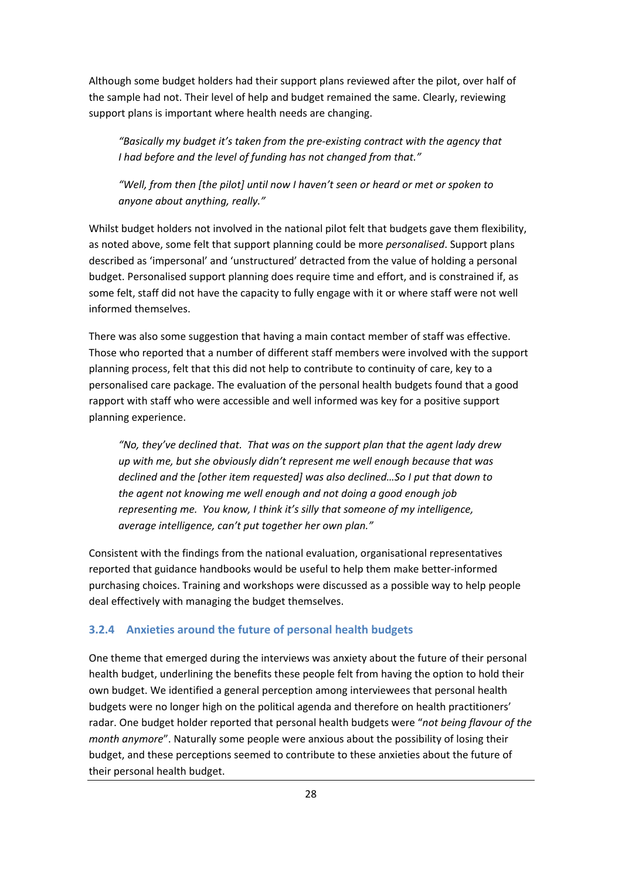Although some budget holders had their support plans reviewed after the pilot, over half of the sample had not. Their level of help and budget remained the same. Clearly, reviewing support plans is important where health needs are changing.

*"Basically my budget it's taken from the pre-existing contract with the agency that I had before and the level of funding has not changed from that."* 

*"Well, from then [the pilot] until now I haven't seen or heard or met or spoken to anyone about anything, really."* 

Whilst budget holders not involved in the national pilot felt that budgets gave them flexibility, as noted above, some felt that support planning could be more *personalised*. Support plans described as 'impersonal' and 'unstructured' detracted from the value of holding a personal budget. Personalised support planning does require time and effort, and is constrained if, as some felt, staff did not have the capacity to fully engage with it or where staff were not well informed themselves.

There was also some suggestion that having a main contact member of staff was effective. Those who reported that a number of different staff members were involved with the support planning process, felt that this did not help to contribute to continuity of care, key to a personalised care package. The evaluation of the personal health budgets found that a good rapport with staff who were accessible and well informed was key for a positive support planning experience.

*"No, they've declined that. That was on the support plan that the agent lady drew up with me, but she obviously didn't represent me well enough because that was declined and the [other item requested] was also declined…So I put that down to the agent not knowing me well enough and not doing a good enough job representing me. You know, I think it's silly that someone of my intelligence, average intelligence, can't put together her own plan."* 

Consistent with the findings from the national evaluation, organisational representatives reported that guidance handbooks would be useful to help them make better-informed purchasing choices. Training and workshops were discussed as a possible way to help people deal effectively with managing the budget themselves.

#### **3.2.4 Anxieties around the future of personal health budgets**

One theme that emerged during the interviews was anxiety about the future of their personal health budget, underlining the benefits these people felt from having the option to hold their own budget. We identified a general perception among interviewees that personal health budgets were no longer high on the political agenda and therefore on health practitioners' radar. One budget holder reported that personal health budgets were "*not being flavour of the month anymore*". Naturally some people were anxious about the possibility of losing their budget, and these perceptions seemed to contribute to these anxieties about the future of their personal health budget.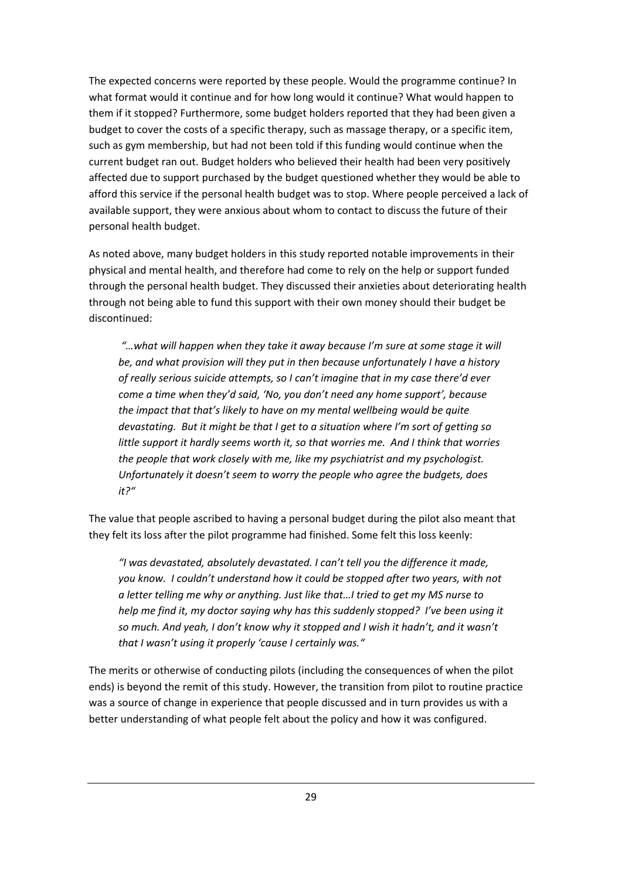The expected concerns were reported by these people. Would the programme continue? In what format would it continue and for how long would it continue? What would happen to them if it stopped? Furthermore, some budget holders reported that they had been given a budget to cover the costs of a specific therapy, such as massage therapy, or a specific item, such as gym membership, but had not been told if this funding would continue when the current budget ran out. Budget holders who believed their health had been very positively affected due to support purchased by the budget questioned whether they would be able to afford this service if the personal health budget was to stop. Where people perceived a lack of available support, they were anxious about whom to contact to discuss the future of their personal health budget.

As noted above, many budget holders in this study reported notable improvements in their physical and mental health, and therefore had come to rely on the help or support funded through the personal health budget. They discussed their anxieties about deteriorating health through not being able to fund this support with their own money should their budget be discontinued:

 *"…what will happen when they take it away because I'm sure at some stage it will be, and what provision will they put in then because unfortunately I have a history of really serious suicide attempts, so I can't imagine that in my case there'd ever come a time when they'd said, 'No, you don't need any home support', because the impact that that's likely to have on my mental wellbeing would be quite devastating. But it might be that I get to a situation where I'm sort of getting so little support it hardly seems worth it, so that worries me. And I think that worries the people that work closely with me, like my psychiatrist and my psychologist. Unfortunately it doesn't seem to worry the people who agree the budgets, does it?"* 

The value that people ascribed to having a personal budget during the pilot also meant that they felt its loss after the pilot programme had finished. Some felt this loss keenly:

*"I was devastated, absolutely devastated. I can't tell you the difference it made, you know. I couldn't understand how it could be stopped after two years, with not a letter telling me why or anything. Just like that…I tried to get my MS nurse to help me find it, my doctor saying why has this suddenly stopped? I've been using it so much. And yeah, I don't know why it stopped and I wish it hadn't, and it wasn't that I wasn't using it properly 'cause I certainly was."* 

The merits or otherwise of conducting pilots (including the consequences of when the pilot ends) is beyond the remit of this study. However, the transition from pilot to routine practice was a source of change in experience that people discussed and in turn provides us with a better understanding of what people felt about the policy and how it was configured.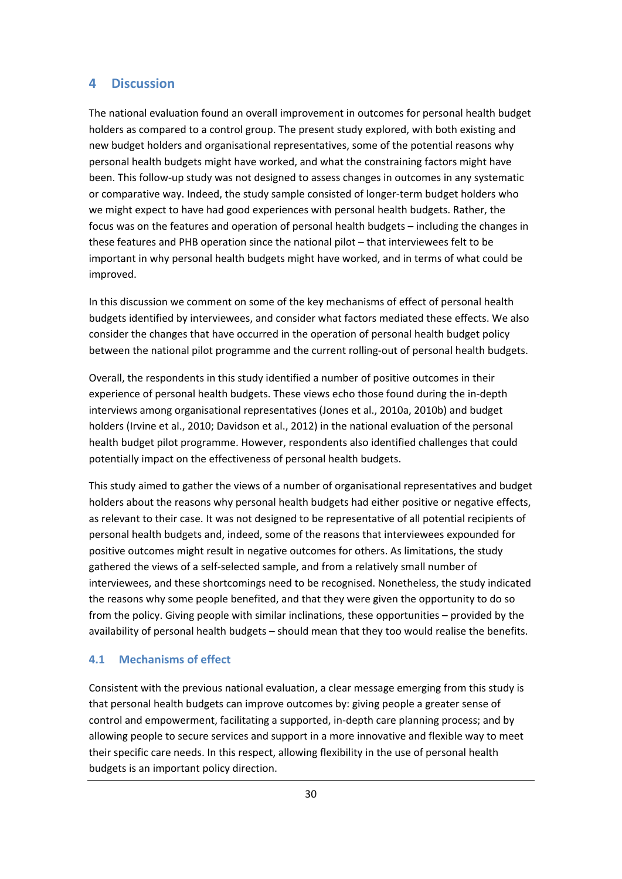#### **4 Discussion**

The national evaluation found an overall improvement in outcomes for personal health budget holders as compared to a control group. The present study explored, with both existing and new budget holders and organisational representatives, some of the potential reasons why personal health budgets might have worked, and what the constraining factors might have been. This follow-up study was not designed to assess changes in outcomes in any systematic or comparative way. Indeed, the study sample consisted of longer-term budget holders who we might expect to have had good experiences with personal health budgets. Rather, the focus was on the features and operation of personal health budgets – including the changes in these features and PHB operation since the national pilot – that interviewees felt to be important in why personal health budgets might have worked, and in terms of what could be improved.

In this discussion we comment on some of the key mechanisms of effect of personal health budgets identified by interviewees, and consider what factors mediated these effects. We also consider the changes that have occurred in the operation of personal health budget policy between the national pilot programme and the current rolling-out of personal health budgets.

Overall, the respondents in this study identified a number of positive outcomes in their experience of personal health budgets. These views echo those found during the in-depth interviews among organisational representatives (Jones et al., 2010a, 2010b) and budget holders (Irvine et al., 2010; Davidson et al., 2012) in the national evaluation of the personal health budget pilot programme. However, respondents also identified challenges that could potentially impact on the effectiveness of personal health budgets.

This study aimed to gather the views of a number of organisational representatives and budget holders about the reasons why personal health budgets had either positive or negative effects, as relevant to their case. It was not designed to be representative of all potential recipients of personal health budgets and, indeed, some of the reasons that interviewees expounded for positive outcomes might result in negative outcomes for others. As limitations, the study gathered the views of a self-selected sample, and from a relatively small number of interviewees, and these shortcomings need to be recognised. Nonetheless, the study indicated the reasons why some people benefited, and that they were given the opportunity to do so from the policy. Giving people with similar inclinations, these opportunities – provided by the availability of personal health budgets – should mean that they too would realise the benefits.

#### **4.1 Mechanisms of effect**

Consistent with the previous national evaluation, a clear message emerging from this study is that personal health budgets can improve outcomes by: giving people a greater sense of control and empowerment, facilitating a supported, in-depth care planning process; and by allowing people to secure services and support in a more innovative and flexible way to meet their specific care needs. In this respect, allowing flexibility in the use of personal health budgets is an important policy direction.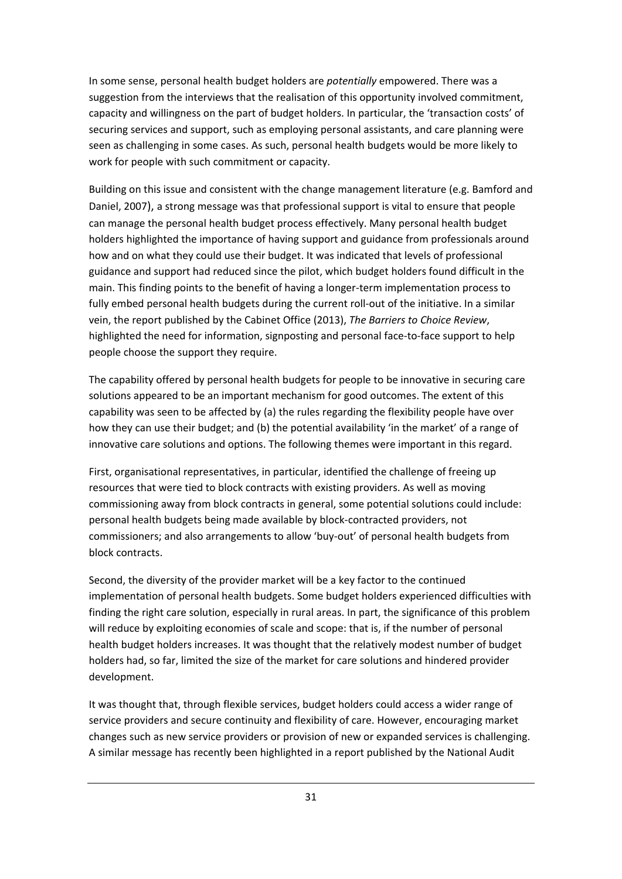In some sense, personal health budget holders are *potentially* empowered. There was a suggestion from the interviews that the realisation of this opportunity involved commitment, capacity and willingness on the part of budget holders. In particular, the 'transaction costs' of securing services and support, such as employing personal assistants, and care planning were seen as challenging in some cases. As such, personal health budgets would be more likely to work for people with such commitment or capacity.

Building on this issue and consistent with the change management literature (e.g. Bamford and Daniel, 2007), a strong message was that professional support is vital to ensure that people can manage the personal health budget process effectively. Many personal health budget holders highlighted the importance of having support and guidance from professionals around how and on what they could use their budget. It was indicated that levels of professional guidance and support had reduced since the pilot, which budget holders found difficult in the main. This finding points to the benefit of having a longer-term implementation process to fully embed personal health budgets during the current roll-out of the initiative. In a similar vein, the report published by the Cabinet Office (2013), *The Barriers to Choice Review*, highlighted the need for information, signposting and personal face-to-face support to help people choose the support they require.

The capability offered by personal health budgets for people to be innovative in securing care solutions appeared to be an important mechanism for good outcomes. The extent of this capability was seen to be affected by (a) the rules regarding the flexibility people have over how they can use their budget; and (b) the potential availability 'in the market' of a range of innovative care solutions and options. The following themes were important in this regard.

First, organisational representatives, in particular, identified the challenge of freeing up resources that were tied to block contracts with existing providers. As well as moving commissioning away from block contracts in general, some potential solutions could include: personal health budgets being made available by block-contracted providers, not commissioners; and also arrangements to allow 'buy-out' of personal health budgets from block contracts.

Second, the diversity of the provider market will be a key factor to the continued implementation of personal health budgets. Some budget holders experienced difficulties with finding the right care solution, especially in rural areas. In part, the significance of this problem will reduce by exploiting economies of scale and scope: that is, if the number of personal health budget holders increases. It was thought that the relatively modest number of budget holders had, so far, limited the size of the market for care solutions and hindered provider development.

It was thought that, through flexible services, budget holders could access a wider range of service providers and secure continuity and flexibility of care. However, encouraging market changes such as new service providers or provision of new or expanded services is challenging. A similar message has recently been highlighted in a report published by the National Audit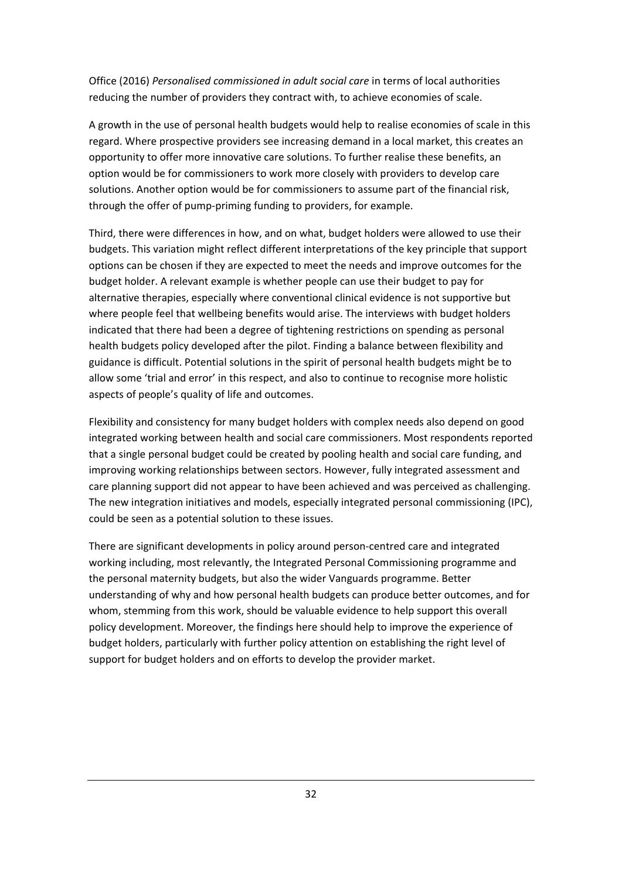Office (2016) *Personalised commissioned in adult social care* in terms of local authorities reducing the number of providers they contract with, to achieve economies of scale.

A growth in the use of personal health budgets would help to realise economies of scale in this regard. Where prospective providers see increasing demand in a local market, this creates an opportunity to offer more innovative care solutions. To further realise these benefits, an option would be for commissioners to work more closely with providers to develop care solutions. Another option would be for commissioners to assume part of the financial risk, through the offer of pump-priming funding to providers, for example.

Third, there were differences in how, and on what, budget holders were allowed to use their budgets. This variation might reflect different interpretations of the key principle that support options can be chosen if they are expected to meet the needs and improve outcomes for the budget holder. A relevant example is whether people can use their budget to pay for alternative therapies, especially where conventional clinical evidence is not supportive but where people feel that wellbeing benefits would arise. The interviews with budget holders indicated that there had been a degree of tightening restrictions on spending as personal health budgets policy developed after the pilot. Finding a balance between flexibility and guidance is difficult. Potential solutions in the spirit of personal health budgets might be to allow some 'trial and error' in this respect, and also to continue to recognise more holistic aspects of people's quality of life and outcomes.

Flexibility and consistency for many budget holders with complex needs also depend on good integrated working between health and social care commissioners. Most respondents reported that a single personal budget could be created by pooling health and social care funding, and improving working relationships between sectors. However, fully integrated assessment and care planning support did not appear to have been achieved and was perceived as challenging. The new integration initiatives and models, especially integrated personal commissioning (IPC), could be seen as a potential solution to these issues.

There are significant developments in policy around person-centred care and integrated working including, most relevantly, the Integrated Personal Commissioning programme and the personal maternity budgets, but also the wider Vanguards programme. Better understanding of why and how personal health budgets can produce better outcomes, and for whom, stemming from this work, should be valuable evidence to help support this overall policy development. Moreover, the findings here should help to improve the experience of budget holders, particularly with further policy attention on establishing the right level of support for budget holders and on efforts to develop the provider market.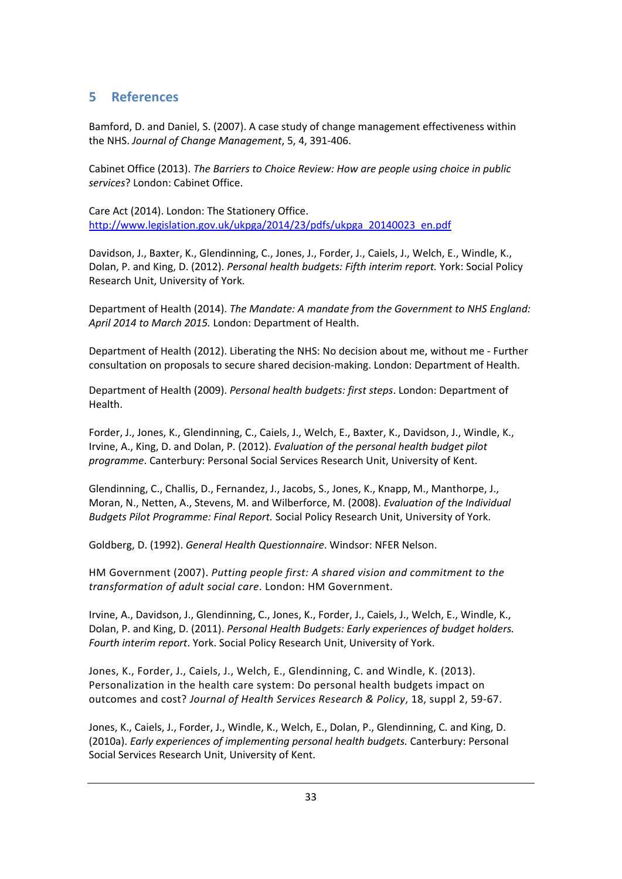#### **5 References**

Bamford, D. and Daniel, S. (2007). A case study of change management effectiveness within the NHS. *Journal of Change Management*, 5, 4, 391-406.

Cabinet Office (2013). *The Barriers to Choice Review: How are people using choice in public services*? London: Cabinet Office.

Care Act (2014). London: The Stationery Office. http://www.legislation.gov.uk/ukpga/2014/23/pdfs/ukpga\_20140023\_en.pdf

Davidson, J., Baxter, K., Glendinning, C., Jones, J., Forder, J., Caiels, J., Welch, E., Windle, K., Dolan, P. and King, D. (2012). *Personal health budgets: Fifth interim report.* York: Social Policy Research Unit, University of York.

Department of Health (2014). *The Mandate: A mandate from the Government to NHS England: April 2014 to March 2015.* London: Department of Health.

Department of Health (2012). Liberating the NHS: No decision about me, without me - Further consultation on proposals to secure shared decision-making. London: Department of Health.

Department of Health (2009). *Personal health budgets: first steps*. London: Department of Health.

Forder, J., Jones, K., Glendinning, C., Caiels, J., Welch, E., Baxter, K., Davidson, J., Windle, K., Irvine, A., King, D. and Dolan, P. (2012). *Evaluation of the personal health budget pilot programme*. Canterbury: Personal Social Services Research Unit, University of Kent.

Glendinning, C., Challis, D., Fernandez, J., Jacobs, S., Jones, K., Knapp, M., Manthorpe, J., Moran, N., Netten, A., Stevens, M. and Wilberforce, M. (2008). *Evaluation of the Individual Budgets Pilot Programme: Final Report.* Social Policy Research Unit, University of York.

Goldberg, D. (1992). *General Health Questionnaire*. Windsor: NFER Nelson.

HM Government (2007). *Putting people first: A shared vision and commitment to the transformation of adult social care*. London: HM Government.

Irvine, A., Davidson, J., Glendinning, C., Jones, K., Forder, J., Caiels, J., Welch, E., Windle, K., Dolan, P. and King, D. (2011). *Personal Health Budgets: Early experiences of budget holders. Fourth interim report*. York. Social Policy Research Unit, University of York.

Jones, K., Forder, J., Caiels, J., Welch, E., Glendinning, C. and Windle, K. (2013). Personalization in the health care system: Do personal health budgets impact on outcomes and cost? *Journal of Health Services Research & Policy*, 18, suppl 2, 59-67.

Jones, K., Caiels, J., Forder, J., Windle, K., Welch, E., Dolan, P., Glendinning, C. and King, D. (2010a). *Early experiences of implementing personal health budgets.* Canterbury: Personal Social Services Research Unit, University of Kent.